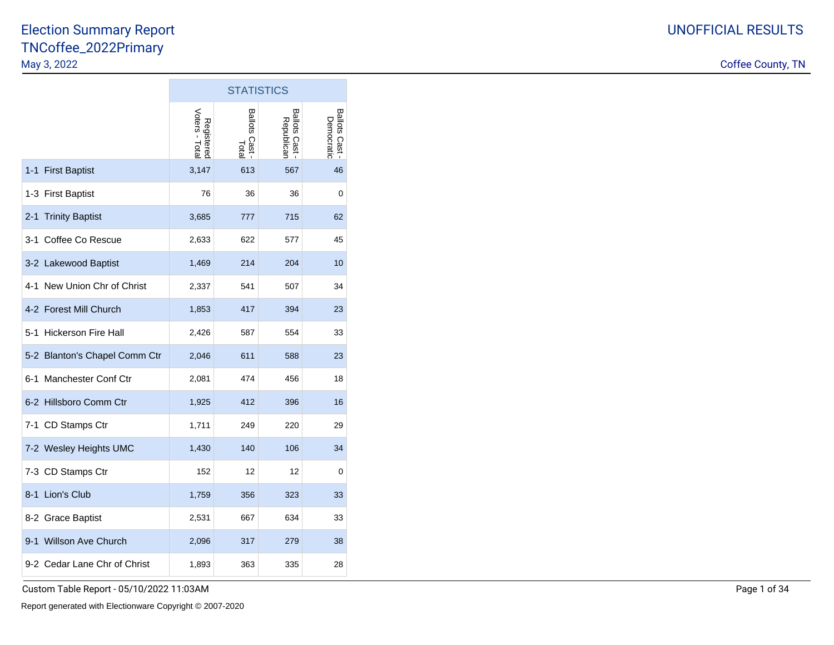|                                   | <b>STATISTICS</b>            |                                   |                                   |                                   |  |  |  |  |  |
|-----------------------------------|------------------------------|-----------------------------------|-----------------------------------|-----------------------------------|--|--|--|--|--|
|                                   | Voters - Total<br>Registered | <b>Ballots</b><br>Cast -<br>Total | <b>Ballots Cast</b><br>Republican | <b>Ballots Cast</b><br>Democratic |  |  |  |  |  |
| 1-1 First Baptist                 | 3,147                        | 613                               | 567                               | 46                                |  |  |  |  |  |
| 1-3 First Baptist                 | 76                           | 36                                | 36                                | 0                                 |  |  |  |  |  |
| <b>Trinity Baptist</b><br>$2 - 1$ | 3,685                        | 777                               | 715                               | 62                                |  |  |  |  |  |
| 3-1 Coffee Co Rescue              | 2,633                        | 622                               | 577                               | 45                                |  |  |  |  |  |
| 3-2 Lakewood Baptist              | 1,469                        | 214                               | 204                               | 10                                |  |  |  |  |  |
| 4-1 New Union Chr of Christ       | 2,337                        | 541                               | 507                               | 34                                |  |  |  |  |  |
| 4-2 Forest Mill Church            | 1,853                        | 417                               | 394                               | 23                                |  |  |  |  |  |
| 5-1 Hickerson Fire Hall           | 2,426                        | 587                               | 554                               | 33                                |  |  |  |  |  |
| 5-2 Blanton's Chapel Comm Ctr     | 2,046                        | 611                               | 588                               | 23                                |  |  |  |  |  |
| 6-1 Manchester Conf Ctr           | 2,081                        | 474                               | 456                               | 18                                |  |  |  |  |  |
| 6-2 Hillsboro Comm Ctr            | 1,925                        | 412                               | 396                               | 16                                |  |  |  |  |  |
| 7-1 CD Stamps Ctr                 | 1,711                        | 249                               | 220                               | 29                                |  |  |  |  |  |
| 7-2 Wesley Heights UMC            | 1,430                        | 140                               | 106                               | 34                                |  |  |  |  |  |
| 7-3 CD Stamps Ctr                 | 152                          | 12                                | 12                                | 0                                 |  |  |  |  |  |
| 8-1 Lion's Club                   | 1,759                        | 356                               | 323                               | 33                                |  |  |  |  |  |
| 8-2 Grace Baptist                 | 2,531                        | 667                               | 634                               | 33                                |  |  |  |  |  |
| <b>Willson Ave Church</b><br>9-1  | 2,096                        | 317                               | 279                               | 38                                |  |  |  |  |  |
| 9-2 Cedar Lane Chr of Christ      | 1,893                        | 363                               | 335                               | 28                                |  |  |  |  |  |

 $\sim 10$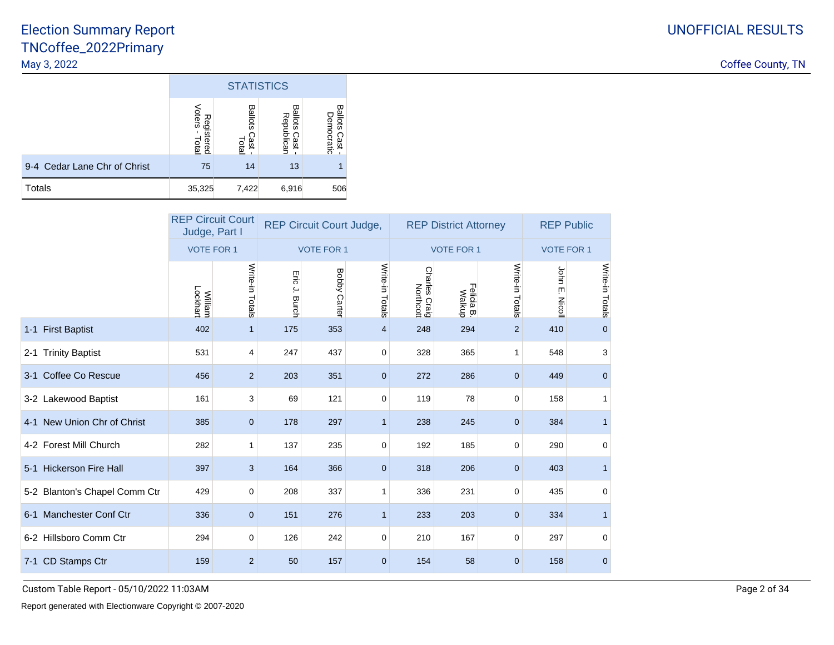Coffee County, TN

|                              | <b>STATISTICS</b>             |                          |                               |                               |  |  |  |  |  |
|------------------------------|-------------------------------|--------------------------|-------------------------------|-------------------------------|--|--|--|--|--|
|                              | Voters<br>Registered<br>Total | Ballots<br>Cast<br>Lotal | Ballots<br>Republican<br>Cast | Ballots<br>Democratic<br>Cast |  |  |  |  |  |
| 9-4 Cedar Lane Chr of Christ | 75                            | 14                       | 13                            |                               |  |  |  |  |  |
| <b>Totals</b>                | 35,325                        | 7,422                    | 6,916                         | 506                           |  |  |  |  |  |

|                               | Judge, Part I       | <b>REP Circuit Court</b> |               | <b>REP Circuit Court Judge,</b> |                 |                            | <b>REP District Attorney</b> |                   | <b>REP Public</b> |                 |
|-------------------------------|---------------------|--------------------------|---------------|---------------------------------|-----------------|----------------------------|------------------------------|-------------------|-------------------|-----------------|
|                               | <b>VOTE FOR 1</b>   |                          |               | <b>VOTE FOR 1</b>               |                 |                            | <b>VOTE FOR 1</b>            | <b>VOTE FOR 1</b> |                   |                 |
|                               | Lockhart<br>William | Write-in Totals          | Eric J. Burch | <b>Bobby Carter</b>             | Write-in Totals | Charles Craig<br>Northcott | Felicia B.<br>Walkup         | Write-in Totals   | John E.<br>Nicoll | Write-in Totals |
| 1-1 First Baptist             | 402                 | $\mathbf{1}$             | 175           | 353                             | 4               | 248                        | 294                          | $\overline{2}$    | 410               | $\mathbf{0}$    |
| 2-1 Trinity Baptist           | 531                 | $\overline{4}$           | 247           | 437                             | 0               | 328                        | 365                          | $\mathbf{1}$      | 548               | 3               |
| 3-1 Coffee Co Rescue          | 456                 | $\overline{2}$           | 203           | 351                             | $\mathbf{0}$    | 272                        | 286                          | $\mathbf{0}$      | 449               | $\mathbf 0$     |
| 3-2 Lakewood Baptist          | 161                 | 3                        | 69            | 121                             | 0               | 119                        | 78                           | 0                 | 158               | 1               |
| 4-1 New Union Chr of Christ   | 385                 | $\mathbf 0$              | 178           | 297                             | $\mathbf{1}$    | 238                        | 245                          | $\mathbf 0$       | 384               | $\mathbf{1}$    |
| 4-2 Forest Mill Church        | 282                 | 1                        | 137           | 235                             | 0               | 192                        | 185                          | 0                 | 290               | $\mathbf 0$     |
| 5-1 Hickerson Fire Hall       | 397                 | 3                        | 164           | 366                             | $\overline{0}$  | 318                        | 206                          | $\mathbf{0}$      | 403               | $\mathbf{1}$    |
| 5-2 Blanton's Chapel Comm Ctr | 429                 | 0                        | 208           | 337                             | 1               | 336                        | 231                          | $\mathbf 0$       | 435               | $\mathbf 0$     |
| 6-1 Manchester Conf Ctr       | 336                 | $\mathbf 0$              | 151           | 276                             | $\mathbf{1}$    | 233                        | 203                          | $\mathbf{0}$      | 334               | $\mathbf{1}$    |
| 6-2 Hillsboro Comm Ctr        | 294                 | 0                        | 126           | 242                             | 0               | 210                        | 167                          | $\mathbf 0$       | 297               | $\mathbf 0$     |
| 7-1 CD Stamps Ctr             | 159                 | $\overline{2}$           | 50            | 157                             | $\mathbf{0}$    | 154                        | 58                           | $\mathbf 0$       | 158               | $\mathbf 0$     |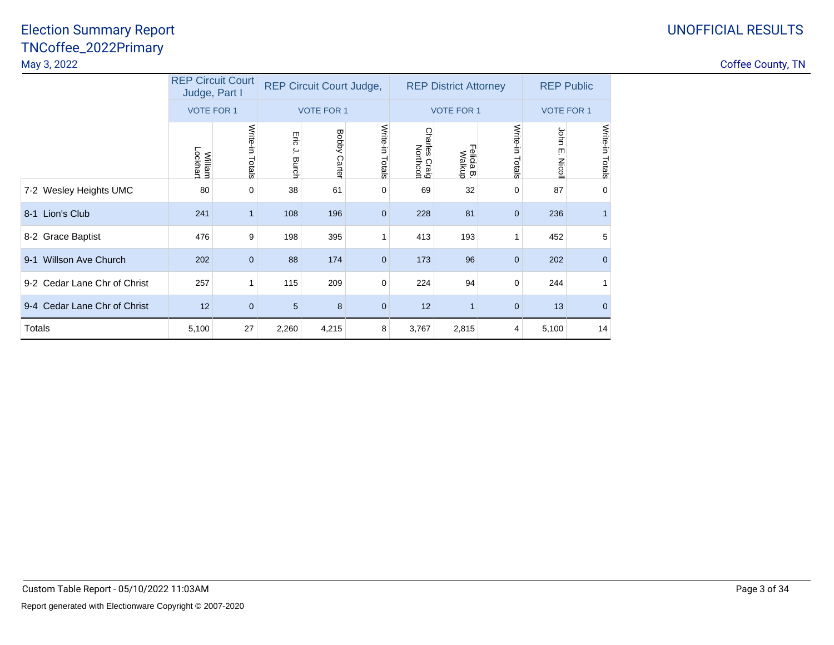|                                      | <b>REP Circuit Court</b><br>Judge, Part I |                   | <b>REP Circuit Court Judge,</b> |                        |                    |                                           | <b>REP District Attorney</b> | <b>REP Public</b>  |                      |                 |
|--------------------------------------|-------------------------------------------|-------------------|---------------------------------|------------------------|--------------------|-------------------------------------------|------------------------------|--------------------|----------------------|-----------------|
|                                      |                                           | <b>VOTE FOR 1</b> |                                 | <b>VOTE FOR 1</b>      |                    |                                           | <b>VOTE FOR 1</b>            |                    | <b>VOTE FOR 1</b>    |                 |
|                                      | <b>William</b><br>Lockhart                | Write-in Totals   | Eig<br>ے.<br>Burch              | <b>Bobby</b><br>Carter | Write-in<br>Totals | <b>Charles</b><br>rles Craig<br>Northcott | Felicia B.<br>Walkup         | Write-in<br>Totals | John<br>ŗm<br>Nicoll | Write-in Totals |
| 7-2 Wesley Heights UMC               | 80                                        | 0                 | 38                              | 61                     | 0                  | 69                                        | 32                           | 0                  | 87                   | $\mathbf 0$     |
| 8-1 Lion's Club                      | 241                                       | 1                 | 108                             | 196                    | $\mathbf 0$        | 228                                       | 81                           | $\mathbf 0$        | 236                  |                 |
| 8-2 Grace Baptist                    | 476                                       | 9                 | 198                             | 395                    | 1                  | 413                                       | 193                          | 1                  | 452                  | 5               |
| <b>Willson Ave Church</b><br>$9 - 1$ | 202                                       | $\overline{0}$    | 88                              | 174                    | $\mathbf{0}$       | 173                                       | 96                           | $\mathbf 0$        | 202                  | $\mathbf{0}$    |
| 9-2 Cedar Lane Chr of Christ         | 257                                       | 1                 | 115                             | 209                    | 0                  | 224                                       | 94                           | $\mathbf 0$        | 244                  | 1               |
| 9-4 Cedar Lane Chr of Christ         | 12                                        | $\mathbf 0$       | 5                               | 8                      | $\mathbf 0$        | 12                                        |                              | $\mathbf 0$        | 13                   | $\mathbf{0}$    |
| Totals                               | 5,100                                     | 27                | 2,260                           | 4,215                  | 8                  | 3,767                                     | 2,815                        | 4                  | 5,100                | 14              |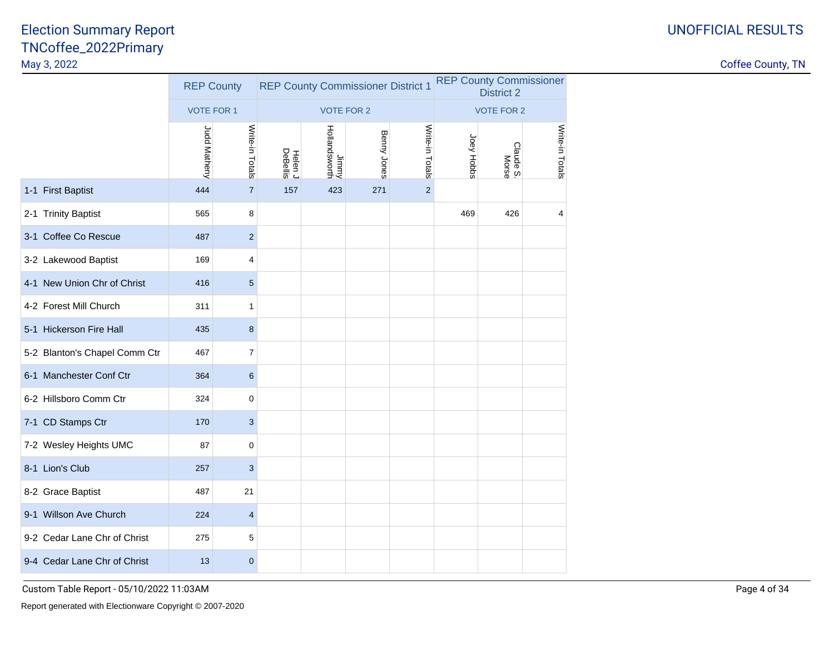|                               | <b>REP County</b> |                         | <b>REP County Commissioner District 1</b> |                        |             | <b>REP County Commissioner</b><br><b>District 2</b> |                   |                    |                 |  |
|-------------------------------|-------------------|-------------------------|-------------------------------------------|------------------------|-------------|-----------------------------------------------------|-------------------|--------------------|-----------------|--|
|                               | <b>VOTE FOR 1</b> |                         |                                           | <b>VOTE FOR 2</b>      |             |                                                     | <b>VOTE FOR 2</b> |                    |                 |  |
|                               | Judd Matheny      | Write-in Totals         | Helen J<br>DeBellis                       | Jimmy<br>Hollandsworth | Benny Jones | Write-in Totals                                     | Joey Hobbs        | Claude S.<br>Morse | Write-in Totals |  |
| 1-1 First Baptist             | 444               | $\overline{7}$          | 157                                       | 423                    | 271         | $\overline{2}$                                      |                   |                    |                 |  |
| 2-1 Trinity Baptist           | 565               | 8                       |                                           |                        |             |                                                     | 469               | 426                | $\overline{4}$  |  |
| 3-1 Coffee Co Rescue          | 487               | $\overline{2}$          |                                           |                        |             |                                                     |                   |                    |                 |  |
| 3-2 Lakewood Baptist          | 169               | 4                       |                                           |                        |             |                                                     |                   |                    |                 |  |
| 4-1 New Union Chr of Christ   | 416               | 5                       |                                           |                        |             |                                                     |                   |                    |                 |  |
| 4-2 Forest Mill Church        | 311               | 1                       |                                           |                        |             |                                                     |                   |                    |                 |  |
| 5-1 Hickerson Fire Hall       | 435               | 8                       |                                           |                        |             |                                                     |                   |                    |                 |  |
| 5-2 Blanton's Chapel Comm Ctr | 467               | 7                       |                                           |                        |             |                                                     |                   |                    |                 |  |
| 6-1 Manchester Conf Ctr       | 364               | 6                       |                                           |                        |             |                                                     |                   |                    |                 |  |
| 6-2 Hillsboro Comm Ctr        | 324               | 0                       |                                           |                        |             |                                                     |                   |                    |                 |  |
| 7-1 CD Stamps Ctr             | 170               | 3                       |                                           |                        |             |                                                     |                   |                    |                 |  |
| 7-2 Wesley Heights UMC        | 87                | 0                       |                                           |                        |             |                                                     |                   |                    |                 |  |
| 8-1 Lion's Club               | 257               | 3                       |                                           |                        |             |                                                     |                   |                    |                 |  |
| 8-2 Grace Baptist             | 487               | 21                      |                                           |                        |             |                                                     |                   |                    |                 |  |
| 9-1 Willson Ave Church        | 224               | $\overline{\mathbf{4}}$ |                                           |                        |             |                                                     |                   |                    |                 |  |
| 9-2 Cedar Lane Chr of Christ  | 275               | 5                       |                                           |                        |             |                                                     |                   |                    |                 |  |
| 9-4 Cedar Lane Chr of Christ  | 13                | $\overline{0}$          |                                           |                        |             |                                                     |                   |                    |                 |  |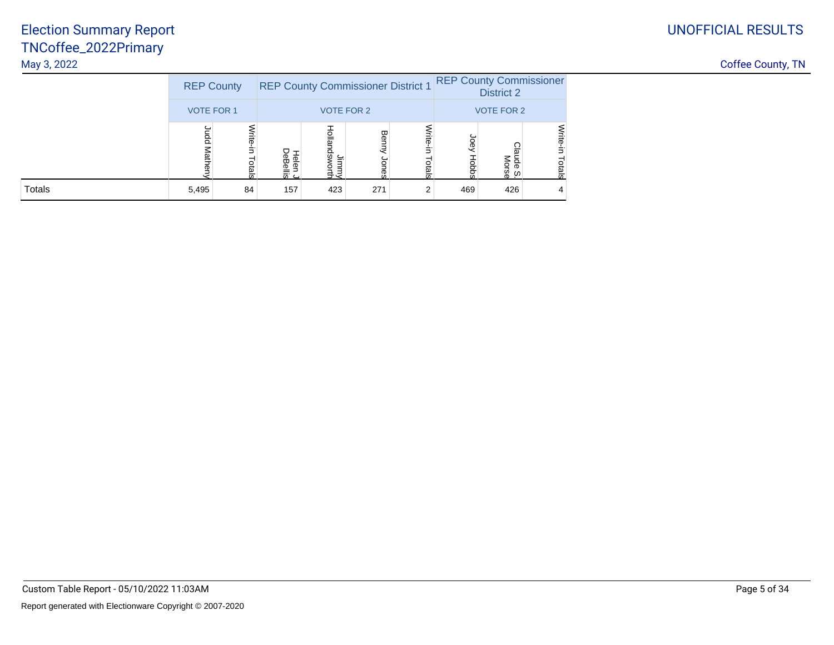|               | <b>REP County</b> |            |                                         |                  | <b>REP County Commissioner District 1</b> | <b>REP County Commissioner</b><br><b>District 2</b> |           |                      |                  |
|---------------|-------------------|------------|-----------------------------------------|------------------|-------------------------------------------|-----------------------------------------------------|-----------|----------------------|------------------|
|               | <b>VOTE FOR 1</b> |            |                                         |                  | <b>VOTE FOR 2</b>                         | <b>VOTE FOR 2</b>                                   |           |                      |                  |
|               | ဥ                 | ಕ<br>otals | P<br>ক<br>ᡂ<br>፸<br>≌<br>$\overline{m}$ | Hollar<br>ā<br>늧 | Ben<br>က္က                                | ಕ<br>흐<br>ഗ                                         | Joe)<br>g | ude S.<br>Morse<br>ഗ | Vrite-<br>Totals |
| <b>Totals</b> | 5,495             | 84         | 157                                     | 423              | 271                                       |                                                     | 469       | 426                  |                  |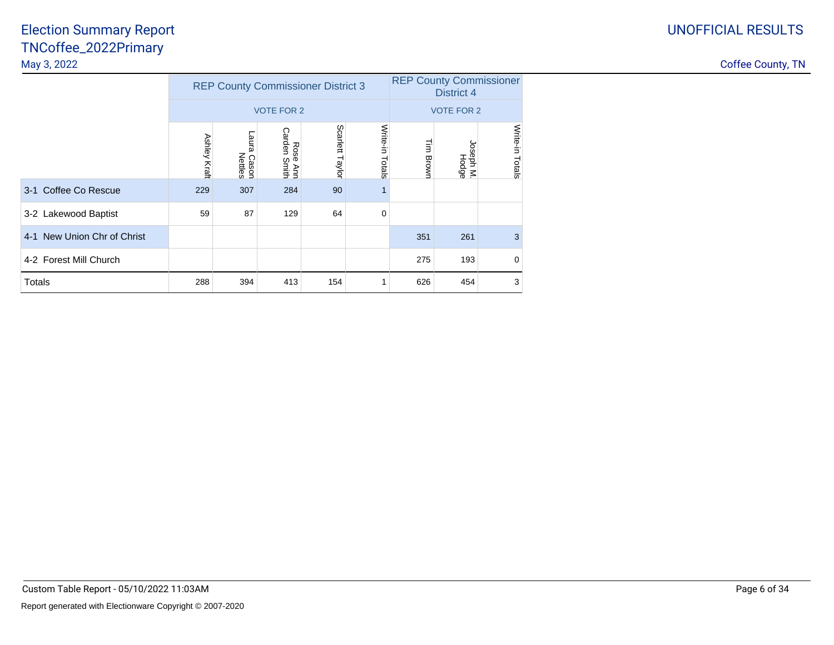|                             |              | <b>REP County Commissioner District 3</b> |                                   | <b>REP County Commissioner</b><br><b>District 4</b> |                    |                   |                       |                 |  |  |
|-----------------------------|--------------|-------------------------------------------|-----------------------------------|-----------------------------------------------------|--------------------|-------------------|-----------------------|-----------------|--|--|
|                             |              |                                           | <b>VOTE FOR 2</b>                 |                                                     |                    |                   | <b>VOTE FOR 2</b>     |                 |  |  |
|                             | Ashley Kraft | <b>Laura</b><br>l Cason<br>Nettles        | Carden<br>Rose<br>ie Ann<br>Smith | Scarlett<br>Taylor                                  | Write-in<br>Totals | 量<br><b>Brown</b> | Joseph M.<br>In hodge | Write-in Totals |  |  |
| 3-1 Coffee Co Rescue        | 229          | 307                                       | 284                               | 90                                                  |                    |                   |                       |                 |  |  |
| 3-2 Lakewood Baptist        | 59           | 87                                        | 129                               | 64                                                  | $\mathbf 0$        |                   |                       |                 |  |  |
| 4-1 New Union Chr of Christ |              |                                           |                                   |                                                     |                    | 351               | 261                   | 3               |  |  |
| 4-2 Forest Mill Church      |              |                                           |                                   |                                                     |                    | 275               | 193                   | 0               |  |  |
| Totals                      | 288          | 394                                       | 413                               | 154                                                 |                    | 626               | 454                   | 3               |  |  |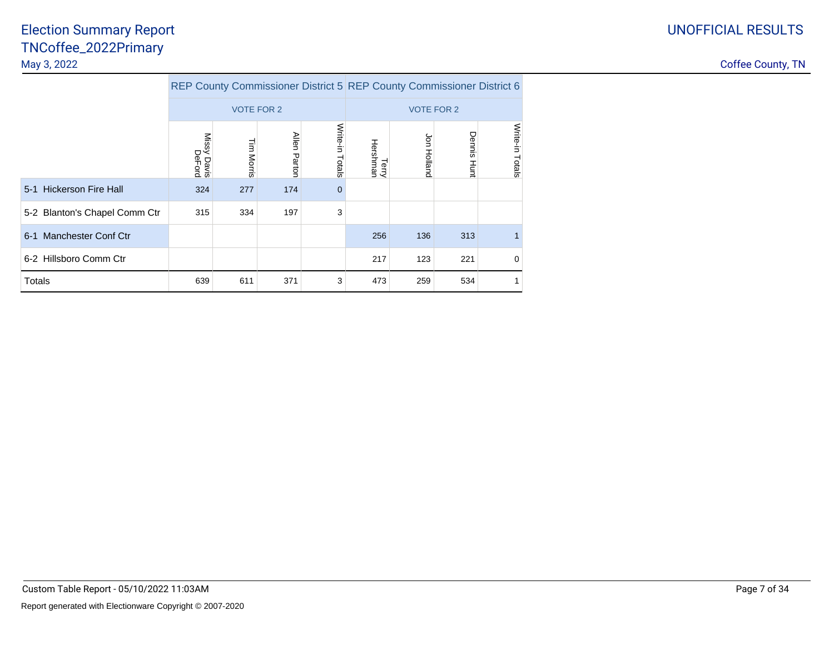|                               |                       |                   |                        | REP County Commissioner District 5 REP County Commissioner District 6 |                   |             |                |                    |
|-------------------------------|-----------------------|-------------------|------------------------|-----------------------------------------------------------------------|-------------------|-------------|----------------|--------------------|
|                               |                       | <b>VOTE FOR 2</b> |                        |                                                                       | <b>VOTE FOR 2</b> |             |                |                    |
|                               | Missy Davis<br>DeFord | <b>Tim Morris</b> | <b>Allen</b><br>Parton | Write-in<br>Totals                                                    | Terry<br>Hershman | Jon Holland | Dennis<br>Hunt | Write-in<br>Totals |
| 5-1 Hickerson Fire Hall       | 324                   | 277               | 174                    | $\Omega$                                                              |                   |             |                |                    |
| 5-2 Blanton's Chapel Comm Ctr | 315                   | 334               | 197                    | 3                                                                     |                   |             |                |                    |
| 6-1 Manchester Conf Ctr       |                       |                   |                        |                                                                       | 256               | 136         | 313            |                    |
| 6-2 Hillsboro Comm Ctr        |                       |                   |                        |                                                                       | 217               | 123         | 221            | 0                  |
| Totals                        | 639                   | 611               | 371                    | 3                                                                     | 473               | 259         | 534            |                    |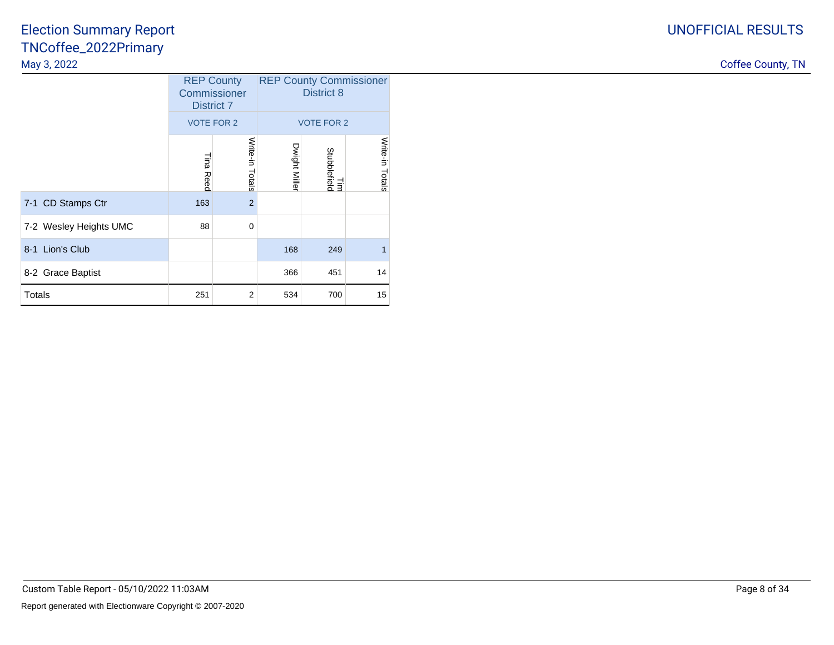# UNOFFICIAL RESULTS

### TNCoffee\_2022PrimaryMay 3, 2022Election Summary Report

| May 3, 2022            |                   |                                   |               |                     |                                |
|------------------------|-------------------|-----------------------------------|---------------|---------------------|--------------------------------|
|                        | <b>District 7</b> | <b>REP County</b><br>Commissioner |               | District 8          | <b>REP County Commissioner</b> |
|                        | VOTE FOR 2        |                                   |               | <b>VOTE FOR 2</b>   |                                |
|                        | Tina Reed         | Write-in<br>Totals                | Dwight Miller | Tim<br>Stubblefield | Write-in<br>Totals             |
| 7-1 CD Stamps Ctr      | 163               | 2 <sup>1</sup>                    |               |                     |                                |
| 7-2 Wesley Heights UMC | 88                | 0                                 |               |                     |                                |
| 8-1 Lion's Club        |                   |                                   | 168           | 249                 |                                |
| 8-2 Grace Baptist      |                   |                                   | 366           | 451                 | 14                             |
| Totals                 | 251               | $\overline{2}$                    | 534           | 700                 | 15                             |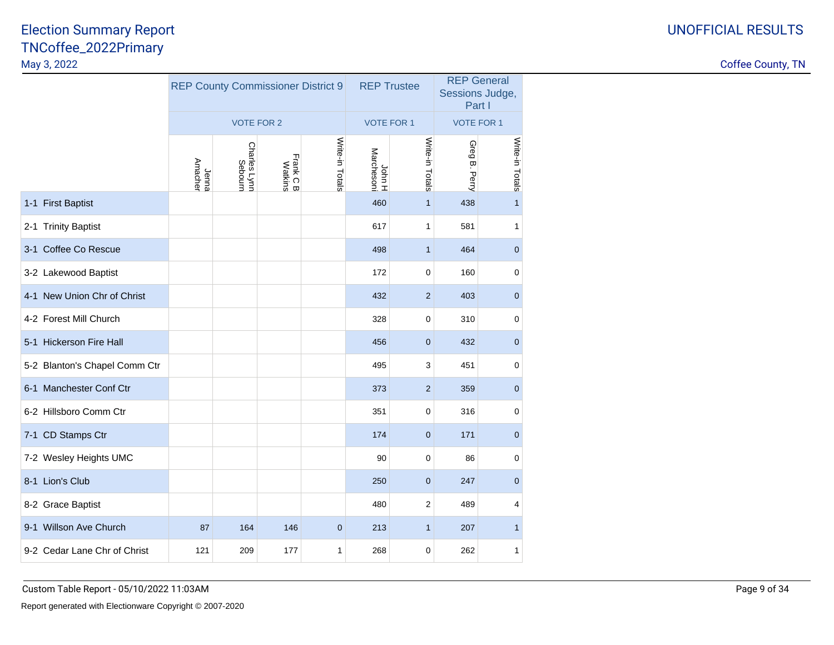|                               |                         | <b>REP County Commissioner District 9</b> |                      |                 | <b>REP Trustee</b>   |                 | <b>REP General</b><br>Sessions Judge,<br>Part I |                  |  |
|-------------------------------|-------------------------|-------------------------------------------|----------------------|-----------------|----------------------|-----------------|-------------------------------------------------|------------------|--|
|                               |                         | <b>VOTE FOR 2</b>                         |                      |                 | <b>VOTE FOR 1</b>    |                 | <b>VOTE FOR 1</b>                               |                  |  |
|                               | <b>Amacher</b><br>Jenna | Charles Lynn<br>Sebourn                   | Frank C B<br>Watkins | Write-in Totals | John H<br>Marchesoni | Write-in Totals | Greg<br>$\overline{\omega}$<br>Perry            | Write-in Totals  |  |
| 1-1 First Baptist             |                         |                                           |                      |                 | 460                  | $\mathbf{1}$    | 438                                             | $\mathbf{1}$     |  |
| 2-1 Trinity Baptist           |                         |                                           |                      |                 | 617                  | 1               | 581                                             | 1                |  |
| 3-1 Coffee Co Rescue          |                         |                                           |                      |                 | 498                  | $\mathbf{1}$    | 464                                             | $\pmb{0}$        |  |
| 3-2 Lakewood Baptist          |                         |                                           |                      |                 | 172                  | 0               | 160                                             | 0                |  |
| 4-1 New Union Chr of Christ   |                         |                                           |                      |                 | 432                  | $\overline{2}$  | 403                                             | $\pmb{0}$        |  |
| 4-2 Forest Mill Church        |                         |                                           |                      |                 | 328                  | 0               | 310                                             | $\pmb{0}$        |  |
| 5-1 Hickerson Fire Hall       |                         |                                           |                      |                 | 456                  | $\mathbf 0$     | 432                                             | $\mathbf 0$      |  |
| 5-2 Blanton's Chapel Comm Ctr |                         |                                           |                      |                 | 495                  | 3               | 451                                             | $\pmb{0}$        |  |
| 6-1 Manchester Conf Ctr       |                         |                                           |                      |                 | 373                  | $\overline{2}$  | 359                                             | $\boldsymbol{0}$ |  |
| 6-2 Hillsboro Comm Ctr        |                         |                                           |                      |                 | 351                  | 0               | 316                                             | $\pmb{0}$        |  |
| 7-1 CD Stamps Ctr             |                         |                                           |                      |                 | 174                  | $\mathbf 0$     | 171                                             | $\mathbf 0$      |  |
| 7-2 Wesley Heights UMC        |                         |                                           |                      |                 | 90                   | 0               | 86                                              | $\mathbf 0$      |  |
| 8-1 Lion's Club               |                         |                                           |                      |                 | 250                  | $\mathbf 0$     | 247                                             | $\mathbf 0$      |  |
| 8-2 Grace Baptist             |                         |                                           |                      |                 | 480                  | $\overline{2}$  | 489                                             | 4                |  |
| 9-1 Willson Ave Church        | 87                      | 164                                       | 146                  | $\mathbf 0$     | 213                  | $\mathbf{1}$    | 207                                             | $\mathbf{1}$     |  |
| 9-2 Cedar Lane Chr of Christ  | 121                     | 209                                       | 177                  | 1               | 268                  | $\mathbf 0$     | 262                                             | $\mathbf{1}$     |  |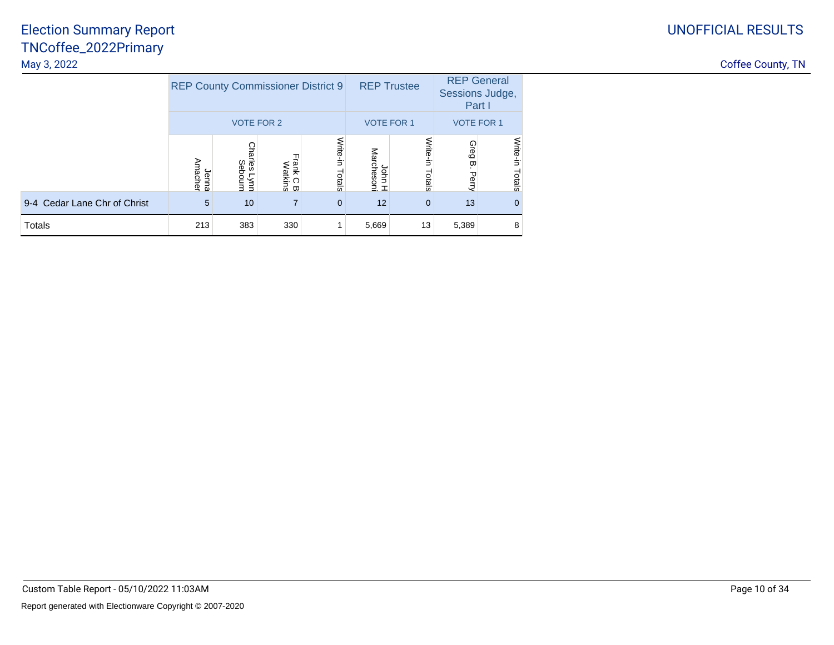# UNOFFICIAL RESULTS

| Coffee County, TN |  |
|-------------------|--|
|                   |  |

|                              |                  |                           | <b>REP County Commissioner District 9</b> |                    | <b>REP Trustee</b>      |                    | <b>REP General</b><br>Sessions Judge,<br>Part I |                    |  |
|------------------------------|------------------|---------------------------|-------------------------------------------|--------------------|-------------------------|--------------------|-------------------------------------------------|--------------------|--|
|                              |                  | <b>VOTE FOR 2</b>         |                                           |                    | <b>VOTE FOR 1</b>       |                    | <b>VOTE FOR 1</b>                               |                    |  |
|                              | Amacher<br>Jenna | Charles<br>Sebourn<br>uu/ | Frank C B<br>Watkins                      | Write-in<br>Totals | Marchesoni<br>John<br>工 | Write-in<br>Totals | Greg<br>ω<br>Perry                              | Write-in<br>Totals |  |
| 9-4 Cedar Lane Chr of Christ | 5                | 10                        | 7                                         | $\Omega$           | 12                      | $\mathbf{0}$       | 13                                              | $\mathbf{0}$       |  |
| Totals                       | 213              | 383                       | 330                                       |                    | 5,669                   | 13                 | 5,389                                           | 8                  |  |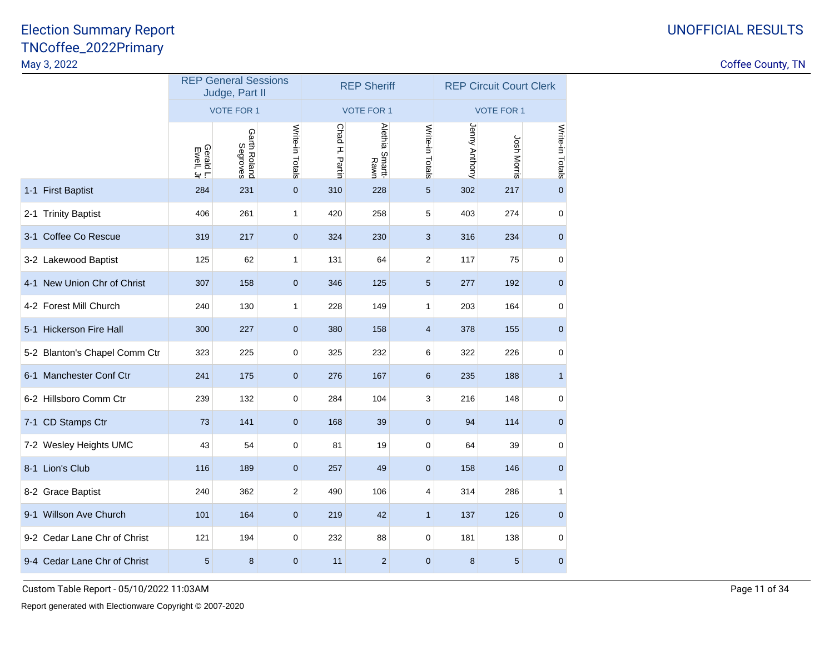Coffee County, TN

|                               | <b>REP General Sessions</b><br>Judge, Part II |                          |                 |                | <b>REP Sheriff</b>      |                 | <b>REP Circuit Court Clerk</b> |                   |                 |  |  |
|-------------------------------|-----------------------------------------------|--------------------------|-----------------|----------------|-------------------------|-----------------|--------------------------------|-------------------|-----------------|--|--|
|                               |                                               | <b>VOTE FOR 1</b>        |                 |                | <b>VOTE FOR 1</b>       |                 |                                | <b>VOTE FOR 1</b> |                 |  |  |
|                               | Gerald L.                                     | Garth Roland<br>Segroves | Write-in Totals | Chad H. Partin | Alethia Smartt-<br>Rawn | Write-in Totals | Jenny Anthony                  | Josh Morris       | Write-in Totals |  |  |
| 1-1 First Baptist             | 284                                           | 231                      | $\mathbf 0$     | 310            | 228                     | 5               | 302                            | 217               | $\overline{0}$  |  |  |
| 2-1 Trinity Baptist           | 406                                           | 261                      | 1               | 420            | 258                     | 5               | 403                            | 274               | $\mathbf 0$     |  |  |
| 3-1 Coffee Co Rescue          | 319                                           | 217                      | $\mathbf 0$     | 324            | 230                     | 3               | 316                            | 234               | $\mathbf 0$     |  |  |
| 3-2 Lakewood Baptist          | 125                                           | 62                       | 1               | 131            | 64                      | 2               | 117                            | 75                | $\mathbf 0$     |  |  |
| 4-1 New Union Chr of Christ   | 307                                           | 158                      | $\mathbf 0$     | 346            | 125                     | 5               | 277                            | 192               | $\mathbf 0$     |  |  |
| 4-2 Forest Mill Church        | 240                                           | 130                      | 1               | 228            | 149                     | 1               | 203                            | 164               | $\mathbf 0$     |  |  |
| 5-1 Hickerson Fire Hall       | 300                                           | 227                      | $\mathbf 0$     | 380            | 158                     | 4               | 378                            | 155               | $\mathbf 0$     |  |  |
| 5-2 Blanton's Chapel Comm Ctr | 323                                           | 225                      | $\mathbf 0$     | 325            | 232                     | 6               | 322                            | 226               | $\mathbf 0$     |  |  |
| 6-1 Manchester Conf Ctr       | 241                                           | 175                      | $\mathbf 0$     | 276            | 167                     | 6               | 235                            | 188               | $\mathbf{1}$    |  |  |
| 6-2 Hillsboro Comm Ctr        | 239                                           | 132                      | 0               | 284            | 104                     | 3               | 216                            | 148               | $\mathbf 0$     |  |  |
| 7-1 CD Stamps Ctr             | 73                                            | 141                      | $\mathbf 0$     | 168            | 39                      | $\mathbf 0$     | 94                             | 114               | $\mathbf{0}$    |  |  |
| 7-2 Wesley Heights UMC        | 43                                            | 54                       | $\pmb{0}$       | 81             | 19                      | $\mathbf 0$     | 64                             | 39                | $\mathbf 0$     |  |  |
| 8-1 Lion's Club               | 116                                           | 189                      | $\mathbf 0$     | 257            | 49                      | $\mathbf 0$     | 158                            | 146               | $\mathbf 0$     |  |  |
| 8-2 Grace Baptist             | 240                                           | 362                      | 2               | 490            | 106                     | 4               | 314                            | 286               | 1               |  |  |
| 9-1 Willson Ave Church        | 101                                           | 164                      | $\mathbf 0$     | 219            | 42                      | $\mathbf{1}$    | 137                            | 126               | $\mathbf 0$     |  |  |
| 9-2 Cedar Lane Chr of Christ  | 121                                           | 194                      | 0               | 232            | 88                      | 0               | 181                            | 138               | $\mathbf 0$     |  |  |
| 9-4 Cedar Lane Chr of Christ  | $\sqrt{5}$                                    | 8                        | $\mathbf 0$     | 11             | $\overline{2}$          | $\mathbf 0$     | 8                              | $\sqrt{5}$        | $\mathbf 0$     |  |  |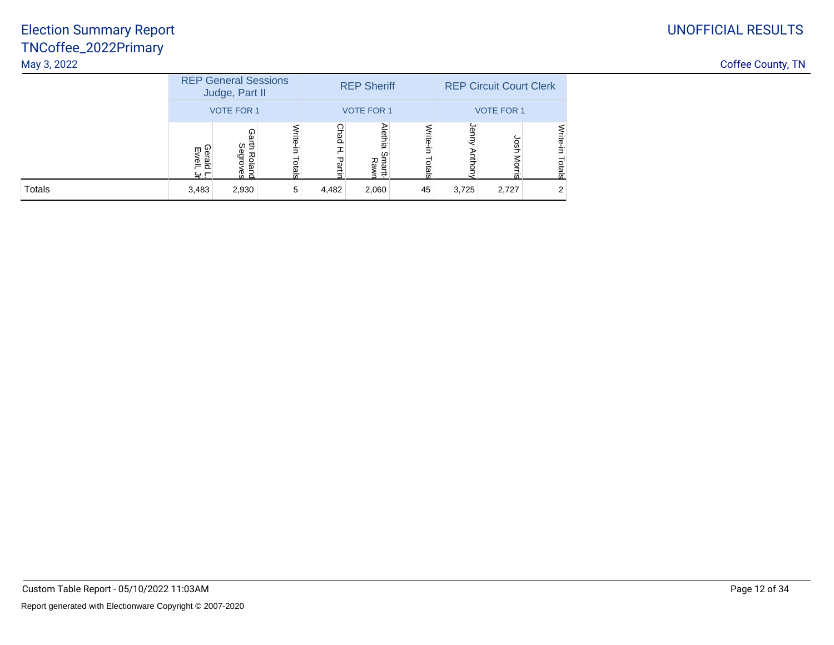# UNOFFICIAL RESULTS

|               |                           | <b>REP General Sessions</b><br>Judge, Part II |                 |                | <b>REP Sheriff</b>    |        | <b>REP Circuit Court Clerk</b> |                   |                               |  |  |
|---------------|---------------------------|-----------------------------------------------|-----------------|----------------|-----------------------|--------|--------------------------------|-------------------|-------------------------------|--|--|
|               |                           | <b>VOTE FOR 1</b>                             |                 |                | <b>VOTE FOR 1</b>     |        |                                | <b>VOTE FOR 1</b> |                               |  |  |
|               | Geral<br>m<br>Mell<br>ر ج | ⋒<br>ω÷<br>Φ<br>절<br>GI6<br>ஜ<br><u>ვ პ</u>   | 큶<br><b>Gig</b> | റ<br>nad<br>59 | <b>Alethia</b><br>로 준 | ಕ<br>ă | gr                             | n<br>Sh           | <b>Write-</b><br>₹.<br>Totals |  |  |
| <b>Totals</b> | 3,483                     | 2,930                                         | 5               | 4,482          | 2,060                 | 45     | 3,725                          | 2,727             | 2                             |  |  |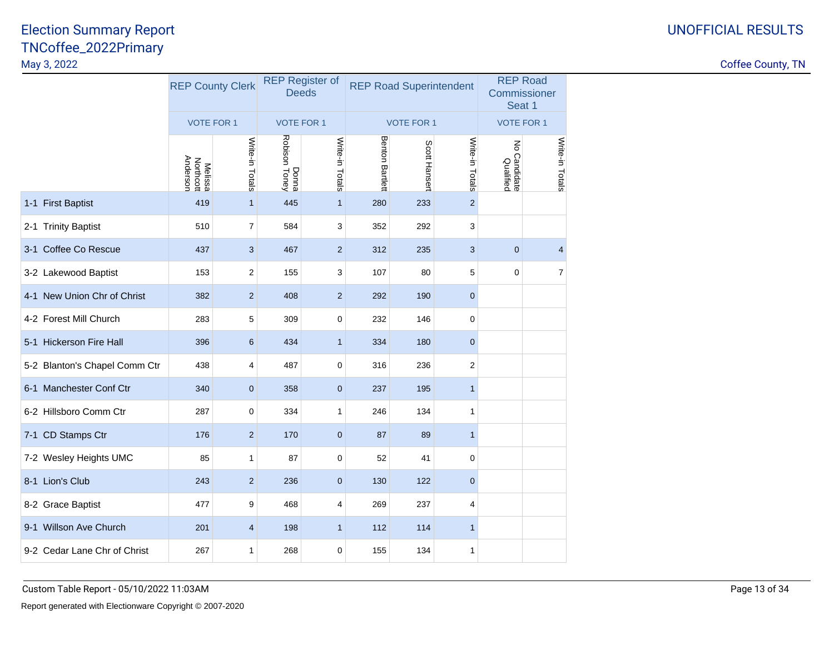|                               | <b>REP County Clerk</b>                 |                 | <b>REP Register of</b><br><b>Deeds</b> |                 |                        | <b>REP Road Superintendent</b> | <b>REP Road</b><br>Commissioner<br>Seat 1 |                                            |                 |
|-------------------------------|-----------------------------------------|-----------------|----------------------------------------|-----------------|------------------------|--------------------------------|-------------------------------------------|--------------------------------------------|-----------------|
|                               | <b>VOTE FOR 1</b>                       |                 | <b>VOTE FOR 1</b>                      |                 |                        | <b>VOTE FOR 1</b>              |                                           | <b>VOTE FOR 1</b>                          |                 |
|                               | Anderson<br><b>Melissa</b><br>Northcott | Write-in Totals | Donna<br>Robison Toney                 | Write-in Totals | <b>Benton Bartlett</b> | Scott Hansert                  | Write-in Totals                           | $\overline{5}$<br>o Candidate<br>Qualified | Write-in Totals |
| 1-1 First Baptist             | 419                                     | $\mathbf{1}$    | 445                                    | $\overline{1}$  | 280                    | 233                            | $\mathbf 2$                               |                                            |                 |
| 2-1 Trinity Baptist           | 510                                     | $\overline{7}$  | 584                                    | 3               | 352                    | 292                            | 3                                         |                                            |                 |
| 3-1 Coffee Co Rescue          | 437                                     | 3               | 467                                    | $\overline{2}$  | 312                    | 235                            | 3                                         | $\mathbf{0}$                               | $\overline{4}$  |
| 3-2 Lakewood Baptist          | 153                                     | 2               | 155                                    | 3               | 107                    | 80                             | 5                                         | $\mathbf 0$                                | $\overline{7}$  |
| 4-1 New Union Chr of Christ   | 382                                     | $\overline{2}$  | 408                                    | $\overline{2}$  | 292                    | 190                            | $\mathbf{0}$                              |                                            |                 |
| 4-2 Forest Mill Church        | 283                                     | 5               | 309                                    | $\mathbf 0$     | 232                    | 146                            | 0                                         |                                            |                 |
| 5-1 Hickerson Fire Hall       | 396                                     | 6               | 434                                    | $\mathbf{1}$    | 334                    | 180                            | $\mathbf 0$                               |                                            |                 |
| 5-2 Blanton's Chapel Comm Ctr | 438                                     | 4               | 487                                    | $\mathbf 0$     | 316                    | 236                            | $\boldsymbol{2}$                          |                                            |                 |
| 6-1 Manchester Conf Ctr       | 340                                     | $\mathbf{0}$    | 358                                    | $\mathbf 0$     | 237                    | 195                            | $\mathbf{1}$                              |                                            |                 |
| 6-2 Hillsboro Comm Ctr        | 287                                     | 0               | 334                                    | 1               | 246                    | 134                            | 1                                         |                                            |                 |
| 7-1 CD Stamps Ctr             | 176                                     | $\overline{2}$  | 170                                    | $\mathbf 0$     | 87                     | 89                             | $\mathbf{1}$                              |                                            |                 |
| 7-2 Wesley Heights UMC        | 85                                      | 1               | 87                                     | $\mathbf 0$     | 52                     | 41                             | $\mathbf 0$                               |                                            |                 |
| 8-1 Lion's Club               | 243                                     | $\overline{2}$  | 236                                    | $\mathbf{0}$    | 130                    | 122                            | $\mathbf{0}$                              |                                            |                 |
| 8-2 Grace Baptist             | 477                                     | 9               | 468                                    | 4               | 269                    | 237                            | 4                                         |                                            |                 |
| 9-1 Willson Ave Church        | 201                                     | 4               | 198                                    | $\mathbf{1}$    | 112                    | 114                            | $\mathbf{1}$                              |                                            |                 |
| 9-2 Cedar Lane Chr of Christ  | 267                                     | 1               | 268                                    | $\mathbf 0$     | 155                    | 134                            | 1                                         |                                            |                 |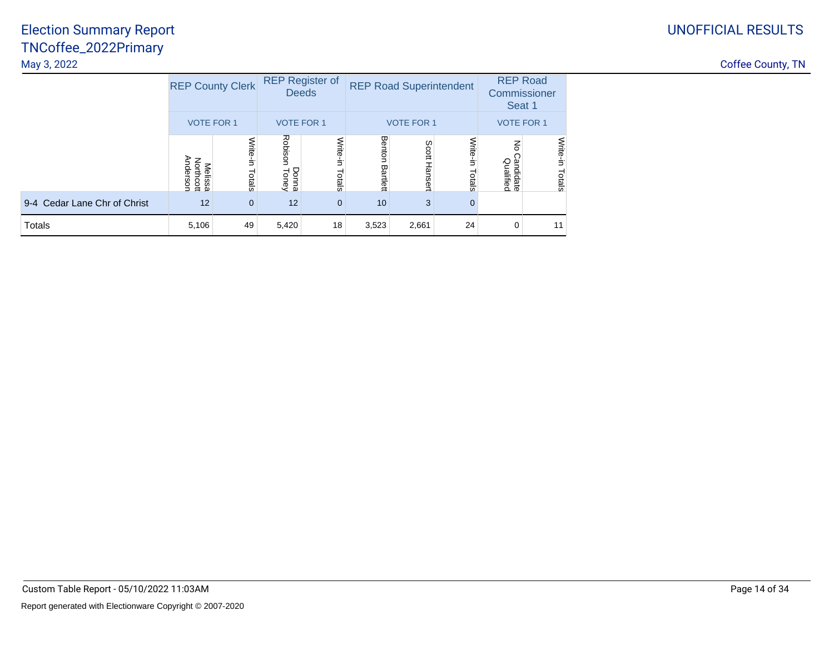|                              | <b>REP County Clerk</b>          |                    | <b>REP Register of</b><br><b>Deeds</b> |                    | <b>REP Road Superintendent</b> |                   |                    |                                          | <b>REP Road</b><br>Commissioner<br>Seat 1 |
|------------------------------|----------------------------------|--------------------|----------------------------------------|--------------------|--------------------------------|-------------------|--------------------|------------------------------------------|-------------------------------------------|
|                              | <b>VOTE FOR 1</b>                |                    | <b>VOTE FOR 1</b>                      |                    |                                | <b>VOTE FOR 1</b> |                    | <b>VOTE FOR 1</b>                        |                                           |
|                              | Anderson<br>Northcott<br>Melissa | Write-in<br>Totals | Robison<br><b>Donna</b><br>Toney       | Write-in<br>Totals | Benton<br>Bartlett             | Scott Hansert     | Write-in<br>Totals | $\overline{5}$<br>Candidate<br>Qualified | Write-in<br>Totals                        |
| 9-4 Cedar Lane Chr of Christ | 12                               | $\mathbf{0}$       | 12                                     | $\mathbf{0}$       | 10                             | 3                 | $\mathbf 0$        |                                          |                                           |
| Totals                       | 5,106                            | 49                 | 5,420                                  | 18                 | 3,523                          | 2,661             | 24                 | $\Omega$                                 | 11                                        |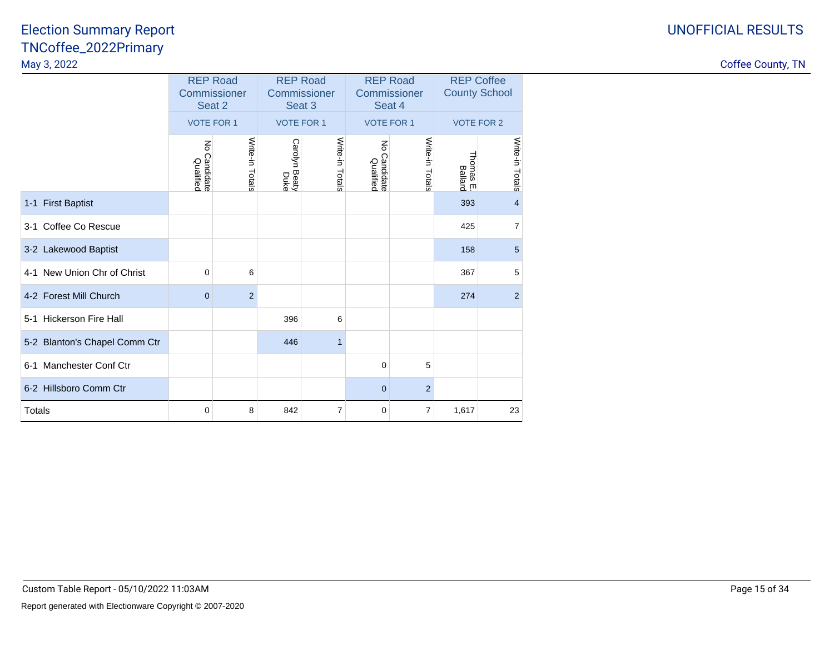#### UNOFFICIAL RESULTS

|                                       | <b>REP Road</b><br>Commissioner<br>Seat 2 |                 | <b>REP Road</b><br>Commissioner<br>Seat 3 |                   | <b>REP Road</b><br>Commissioner<br>Seat 4 |                   | <b>REP Coffee</b><br><b>County School</b> |                   |
|---------------------------------------|-------------------------------------------|-----------------|-------------------------------------------|-------------------|-------------------------------------------|-------------------|-------------------------------------------|-------------------|
|                                       | <b>VOTE FOR 1</b>                         |                 |                                           | <b>VOTE FOR 1</b> |                                           | <b>VOTE FOR 1</b> |                                           | <b>VOTE FOR 2</b> |
|                                       | $\lessapprox$<br>Candidate<br>Qualified   | Write-in Totals | Carolyn Beaty<br>Duke                     | Write-in Totals   | No Candidate<br>Qualified                 | Write-in Totals   | Thomas E.<br>Ballard                      | Write-in Totals   |
| 1-1 First Baptist                     |                                           |                 |                                           |                   |                                           |                   | 393                                       | $\overline{4}$    |
| 3-1 Coffee Co Rescue                  |                                           |                 |                                           |                   |                                           |                   | 425                                       | $\overline{7}$    |
| 3-2 Lakewood Baptist                  |                                           |                 |                                           |                   |                                           |                   | 158                                       | 5                 |
| 4-1 New Union Chr of Christ           | 0                                         | 6               |                                           |                   |                                           |                   | 367                                       | 5                 |
| 4-2 Forest Mill Church                | $\mathbf{0}$                              | $\overline{2}$  |                                           |                   |                                           |                   | 274                                       | 2                 |
| 5-1 Hickerson Fire Hall               |                                           |                 | 396                                       | 6                 |                                           |                   |                                           |                   |
| 5-2 Blanton's Chapel Comm Ctr         |                                           |                 | 446                                       | $\mathbf{1}$      |                                           |                   |                                           |                   |
| <b>Manchester Conf Ctr</b><br>$6 - 1$ |                                           |                 |                                           |                   | 0                                         | 5                 |                                           |                   |
| 6-2 Hillsboro Comm Ctr                |                                           |                 |                                           |                   | $\mathbf{0}$                              | $\overline{2}$    |                                           |                   |
| Totals                                | 0                                         | 8               | 842                                       | 7                 | 0                                         | 7                 | 1,617                                     | 23                |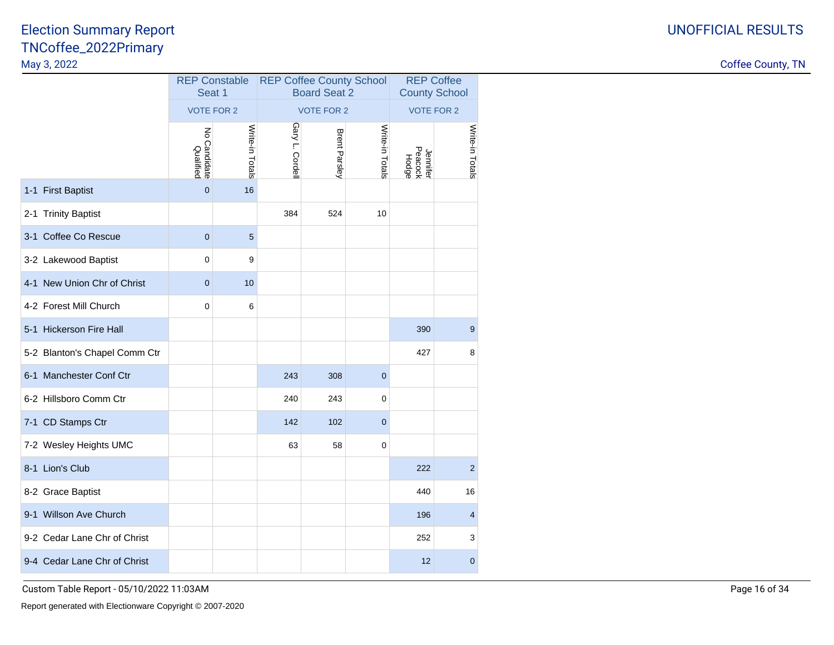Coffee County, TN

|                               | <b>REP Constable</b><br>Seat 1         |                 |                | <b>REP Coffee County School</b><br><b>Board Seat 2</b> | <b>REP Coffee</b><br><b>County School</b> |                              |                 |  |
|-------------------------------|----------------------------------------|-----------------|----------------|--------------------------------------------------------|-------------------------------------------|------------------------------|-----------------|--|
|                               | <b>VOTE FOR 2</b>                      |                 |                | <b>VOTE FOR 2</b>                                      |                                           | <b>VOTE FOR 2</b>            |                 |  |
|                               | $\lesssim$<br>o Candidate<br>Qualified | Write-in Totals | Gary L. Cordel | Brent Parsley                                          | Write-in Totals                           | Jennifer<br>Peacock<br>Hodge | Write-in Totals |  |
| 1-1 First Baptist             | $\mathbf{0}$                           | 16              |                |                                                        |                                           |                              |                 |  |
| 2-1 Trinity Baptist           |                                        |                 | 384            | 524                                                    | 10                                        |                              |                 |  |
| 3-1 Coffee Co Rescue          | $\mathbf 0$                            | 5               |                |                                                        |                                           |                              |                 |  |
| 3-2 Lakewood Baptist          | $\mathbf 0$                            | 9               |                |                                                        |                                           |                              |                 |  |
| 4-1 New Union Chr of Christ   | $\mathbf{0}$                           | 10              |                |                                                        |                                           |                              |                 |  |
| 4-2 Forest Mill Church        | $\mathbf 0$                            | 6               |                |                                                        |                                           |                              |                 |  |
| 5-1 Hickerson Fire Hall       |                                        |                 |                |                                                        |                                           | 390                          | 9               |  |
| 5-2 Blanton's Chapel Comm Ctr |                                        |                 |                |                                                        |                                           | 427                          | 8               |  |
| 6-1 Manchester Conf Ctr       |                                        |                 | 243            | 308                                                    | $\overline{0}$                            |                              |                 |  |
| 6-2 Hillsboro Comm Ctr        |                                        |                 | 240            | 243                                                    | $\mathbf 0$                               |                              |                 |  |
| 7-1 CD Stamps Ctr             |                                        |                 | 142            | 102                                                    | $\overline{0}$                            |                              |                 |  |
| 7-2 Wesley Heights UMC        |                                        |                 | 63             | 58                                                     | 0                                         |                              |                 |  |
| 8-1 Lion's Club               |                                        |                 |                |                                                        |                                           | 222                          | $\overline{c}$  |  |
| 8-2 Grace Baptist             |                                        |                 |                |                                                        |                                           | 440                          | 16              |  |
| 9-1 Willson Ave Church        |                                        |                 |                |                                                        |                                           | 196                          | 4               |  |
| 9-2 Cedar Lane Chr of Christ  |                                        |                 |                |                                                        |                                           | 252                          | 3               |  |
| 9-4 Cedar Lane Chr of Christ  |                                        |                 |                |                                                        |                                           | 12                           | $\mathbf 0$     |  |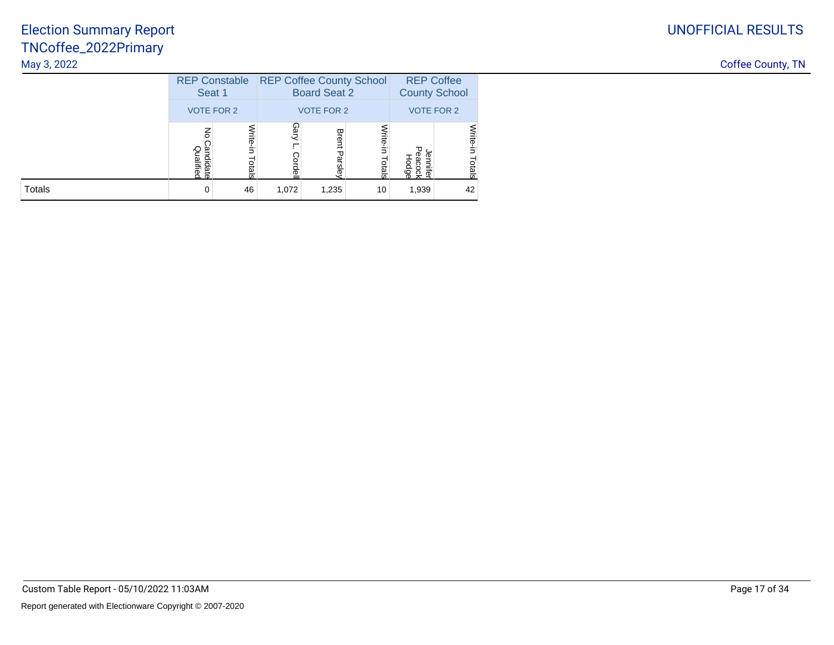|        | <b>REP Constable</b><br>Seat 1 |                          |                   | <b>REP Coffee County School</b><br><b>Board Seat 2</b> |                 | <b>REP Coffee</b><br><b>County School</b> |                    |  |
|--------|--------------------------------|--------------------------|-------------------|--------------------------------------------------------|-----------------|-------------------------------------------|--------------------|--|
|        | <b>VOTE FOR 2</b>              |                          | <b>VOTE FOR 2</b> |                                                        |                 | <b>VOTE FOR 2</b>                         |                    |  |
|        | PS<br>Qualifiec<br>andidate    | Vrite-in<br><b>Otals</b> | Gary<br>ā         | <b>Brent</b><br>Parsley                                | Vrite<br>Totals | Φ<br>ഴ്ല                                  | Write-in<br>Totals |  |
| Totals | 0                              | 46                       | 1,072             | 1,235                                                  | 10              | 1,939                                     | 42                 |  |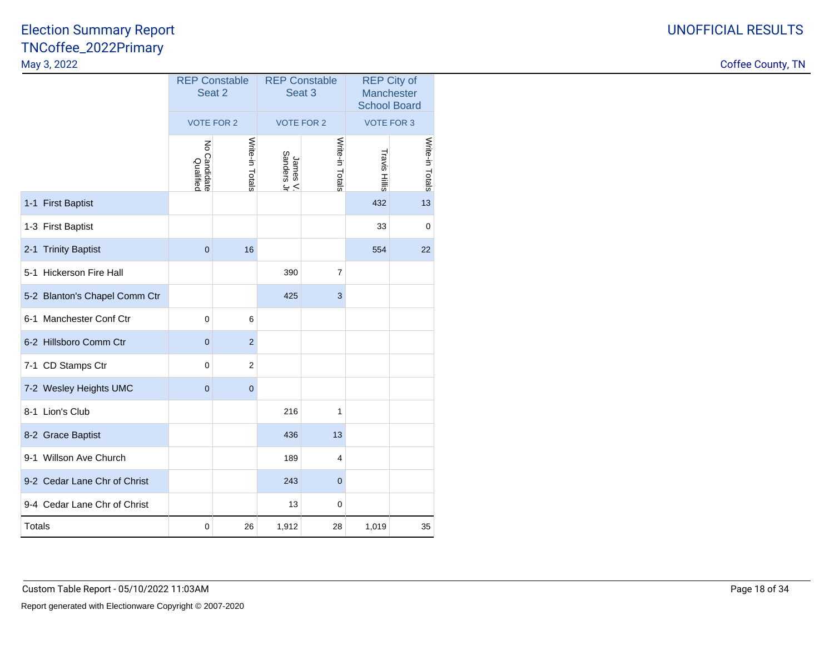| <b>UNOFFICIAL RESULTS</b> |
|---------------------------|
|                           |

|                               | <b>REP Constable</b><br>Seat 2 |                 |                        | <b>REP Constable</b><br>Seat <sub>3</sub> | <b>School Board</b> | <b>REP City of</b><br>Manchester |
|-------------------------------|--------------------------------|-----------------|------------------------|-------------------------------------------|---------------------|----------------------------------|
|                               | <b>VOTE FOR 2</b>              |                 |                        | <b>VOTE FOR 2</b>                         | <b>VOTE FOR 3</b>   |                                  |
|                               | ξ<br>o Candidate<br>Qualified  | Write-in Totals | James V.<br>Sanders Jr | Write-in Totals                           | Travis Hillis       | Write-in Totals                  |
| 1-1 First Baptist             |                                |                 |                        |                                           | 432                 | 13                               |
| 1-3 First Baptist             |                                |                 |                        |                                           | 33                  | $\mathbf 0$                      |
| 2-1 Trinity Baptist           | $\mathbf 0$                    | 16              |                        |                                           | 554                 | 22                               |
| 5-1 Hickerson Fire Hall       |                                |                 | 390                    | $\overline{7}$                            |                     |                                  |
| 5-2 Blanton's Chapel Comm Ctr |                                |                 | 425                    | 3                                         |                     |                                  |
| 6-1 Manchester Conf Ctr       | $\mathbf 0$                    | 6               |                        |                                           |                     |                                  |
| 6-2 Hillsboro Comm Ctr        | $\mathbf 0$                    | $\overline{2}$  |                        |                                           |                     |                                  |
| 7-1 CD Stamps Ctr             | 0                              | $\overline{c}$  |                        |                                           |                     |                                  |
| 7-2 Wesley Heights UMC        | $\mathbf{0}$                   | $\overline{0}$  |                        |                                           |                     |                                  |
| 8-1 Lion's Club               |                                |                 | 216                    | 1                                         |                     |                                  |
| 8-2 Grace Baptist             |                                |                 | 436                    | 13                                        |                     |                                  |
| 9-1 Willson Ave Church        |                                |                 | 189                    | 4                                         |                     |                                  |
| 9-2 Cedar Lane Chr of Christ  |                                |                 | 243                    | $\overline{0}$                            |                     |                                  |
| 9-4 Cedar Lane Chr of Christ  |                                |                 | 13                     | 0                                         |                     |                                  |
| <b>Totals</b>                 | $\pmb{0}$                      | 26              | 1,912                  | 28                                        | 1,019               | 35                               |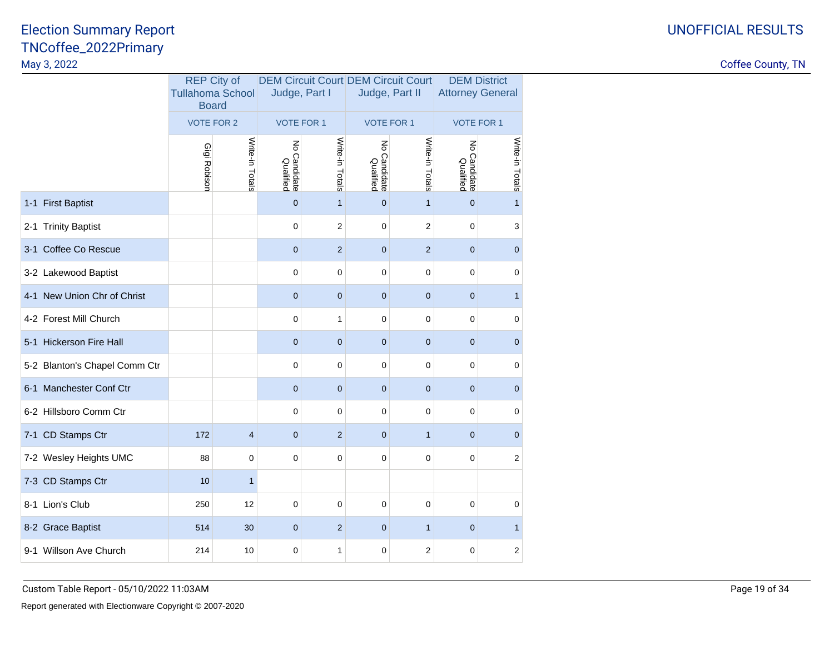|                               | <b>Board</b>      | <b>REP City of</b><br><b>Tullahoma School</b> | Judge, Part I                     |                 | <b>DEM Circuit Court DEM Circuit Court</b><br>Judge, Part II |                  | <b>DEM District</b><br><b>Attorney General</b> |                 |
|-------------------------------|-------------------|-----------------------------------------------|-----------------------------------|-----------------|--------------------------------------------------------------|------------------|------------------------------------------------|-----------------|
|                               | <b>VOTE FOR 2</b> |                                               | <b>VOTE FOR 1</b>                 |                 | <b>VOTE FOR 1</b>                                            |                  | <b>VOTE FOR 1</b>                              |                 |
|                               | Gigi Robison      | Write-in Totals                               | $\xi$<br>o Candidate<br>Qualified | Write-in Totals | $\xi$<br>o Candidate<br>Qualified                            | Write-in Totals  | $\epsilon$<br><b>Candidate</b><br>Qualified    | Write-in Totals |
| 1-1 First Baptist             |                   |                                               | $\mathbf{0}$                      | $\mathbf{1}$    | $\mathbf{0}$                                                 | $\mathbf{1}$     | $\mathbf 0$                                    | $\mathbf{1}$    |
| 2-1 Trinity Baptist           |                   |                                               | $\mathbf 0$                       | $\overline{2}$  | $\Omega$                                                     | $\overline{2}$   | $\mathbf 0$                                    | 3               |
| 3-1 Coffee Co Rescue          |                   |                                               | $\mathbf 0$                       | $\overline{2}$  | $\mathbf{0}$                                                 | $\overline{2}$   | $\mathbf 0$                                    | $\mathbf 0$     |
| 3-2 Lakewood Baptist          |                   |                                               | $\mathbf 0$                       | $\pmb{0}$       | $\mathbf 0$                                                  | $\pmb{0}$        | $\mathbf 0$                                    | $\mathbf 0$     |
| 4-1 New Union Chr of Christ   |                   |                                               | $\mathbf 0$                       | $\mathbf{0}$    | $\mathbf{0}$                                                 | $\mathbf{0}$     | $\mathbf 0$                                    | $\mathbf{1}$    |
| 4-2 Forest Mill Church        |                   |                                               | $\mathbf 0$                       | $\mathbf{1}$    | $\mathbf 0$                                                  | $\mathbf 0$      | $\mathbf 0$                                    | $\mathbf 0$     |
| 5-1 Hickerson Fire Hall       |                   |                                               | $\overline{0}$                    | $\mathbf 0$     | $\mathbf{0}$                                                 | $\mathbf 0$      | $\overline{0}$                                 | $\mathbf 0$     |
| 5-2 Blanton's Chapel Comm Ctr |                   |                                               | $\mathbf 0$                       | $\pmb{0}$       | $\mathbf 0$                                                  | $\pmb{0}$        | $\mathbf 0$                                    | $\mathbf 0$     |
| 6-1 Manchester Conf Ctr       |                   |                                               | $\mathbf{0}$                      | $\mathbf{0}$    | $\mathbf 0$                                                  | $\mathbf{0}$     | $\mathbf{0}$                                   | $\mathbf 0$     |
| 6-2 Hillsboro Comm Ctr        |                   |                                               | $\mathbf 0$                       | $\mathbf 0$     | $\mathbf 0$                                                  | $\mathbf 0$      | $\mathbf 0$                                    | $\mathbf 0$     |
| 7-1 CD Stamps Ctr             | 172               | $\overline{\mathbf{4}}$                       | $\overline{0}$                    | 2               | $\mathbf{0}$                                                 | $\mathbf{1}$     | $\overline{0}$                                 | $\mathbf 0$     |
| 7-2 Wesley Heights UMC        | 88                | 0                                             | $\mathbf 0$                       | $\mathbf 0$     | $\mathbf 0$                                                  | $\pmb{0}$        | $\mathbf 0$                                    | $\overline{2}$  |
| 7-3 CD Stamps Ctr             | 10                | $\mathbf{1}$                                  |                                   |                 |                                                              |                  |                                                |                 |
| 8-1 Lion's Club               | 250               | 12                                            | $\mathbf 0$                       | $\mathbf 0$     | $\mathbf 0$                                                  | $\mathbf 0$      | $\mathbf 0$                                    | $\mathbf 0$     |
| 8-2 Grace Baptist             | 514               | 30                                            | $\mathbf{0}$                      | $\overline{2}$  | $\mathbf{0}$                                                 | $\mathbf{1}$     | $\mathbf{0}$                                   | $\mathbf{1}$    |
| 9-1 Willson Ave Church        | 214               | 10                                            | $\mathbf 0$                       | 1               | $\mathbf 0$                                                  | $\boldsymbol{2}$ | $\mathbf 0$                                    | $\mathbf 2$     |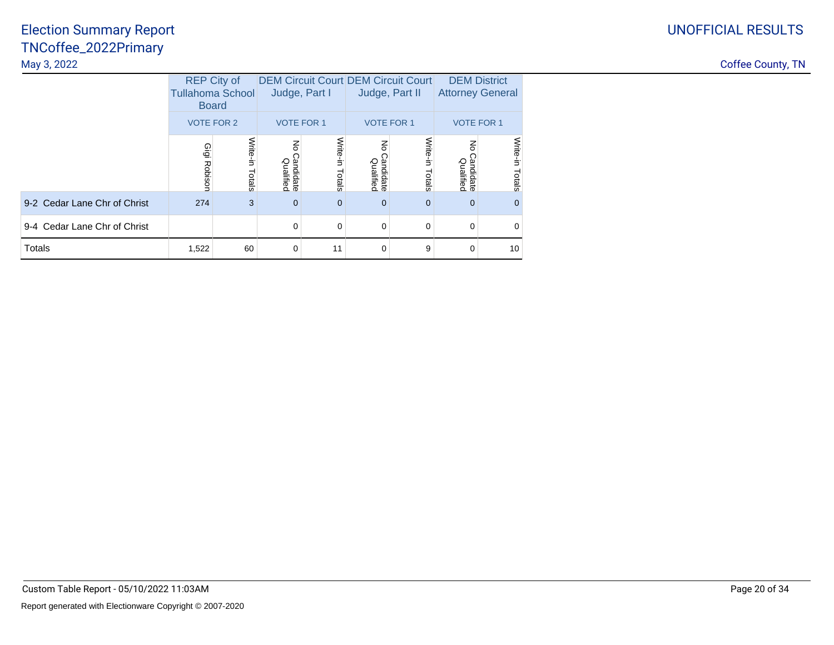|                              | <b>REP City of</b><br><b>Tullahoma School</b><br><b>Board</b> |                    |                             | Judge, Part I      |                                              | <b>DEM Circuit Court DEM Circuit Court</b><br>Judge, Part II | <b>DEM District</b><br><b>Attorney General</b> |                    |
|------------------------------|---------------------------------------------------------------|--------------------|-----------------------------|--------------------|----------------------------------------------|--------------------------------------------------------------|------------------------------------------------|--------------------|
|                              | <b>VOTE FOR 2</b>                                             |                    | <b>VOTE FOR 1</b>           |                    |                                              | <b>VOTE FOR 1</b>                                            | <b>VOTE FOR 1</b>                              |                    |
|                              | Gigi Robison                                                  | Write-in<br>Totals | 중<br>Candidate<br>Qualified | Write-in<br>Totals | $\mathsf{g}% _{T}$<br>Candidate<br>Qualified | Write-in<br>Totals                                           | 종<br>Candidate<br>Qualified                    | Write-in<br>Totals |
| 9-2 Cedar Lane Chr of Christ | 274                                                           | 3                  | $\mathbf 0$                 | $\Omega$           | $\mathbf 0$                                  | $\Omega$                                                     | $\mathbf 0$                                    | $\mathbf{0}$       |
| 9-4 Cedar Lane Chr of Christ |                                                               |                    | $\Omega$                    | $\Omega$           | 0                                            | $\Omega$                                                     | $\Omega$                                       | 0                  |
| Totals                       | 1,522                                                         | 60                 | $\mathbf 0$                 | 11                 | $\mathbf 0$                                  | 9                                                            | $\Omega$                                       | 10                 |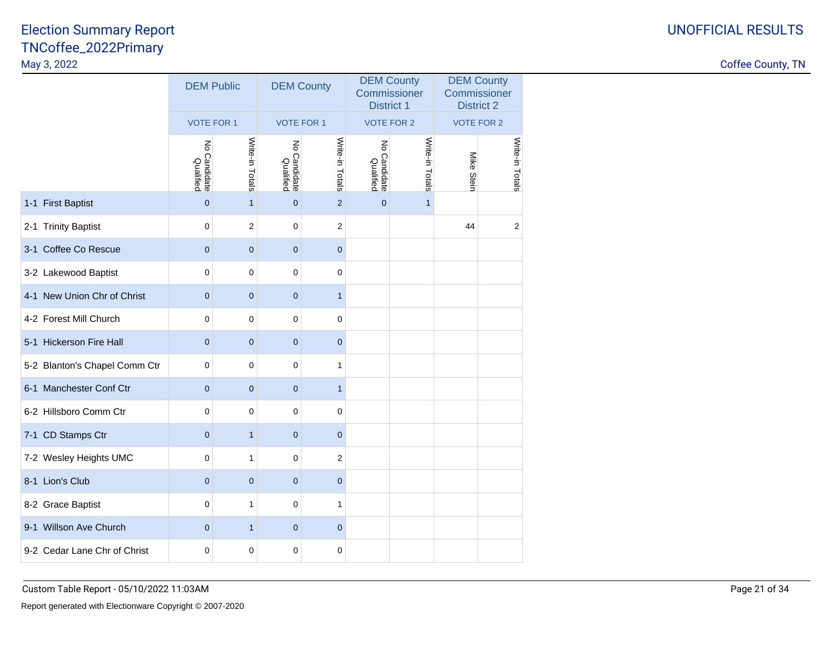### UNOFFICIAL RESULTS

|                               | <b>DEM Public</b>                  |                 | <b>DEM County</b>                          |                   | <b>DEM County</b><br>Commissioner<br><b>District 1</b> |                   | <b>DEM County</b><br>Commissioner<br><b>District 2</b> |                   |
|-------------------------------|------------------------------------|-----------------|--------------------------------------------|-------------------|--------------------------------------------------------|-------------------|--------------------------------------------------------|-------------------|
|                               | <b>VOTE FOR 1</b>                  |                 |                                            | <b>VOTE FOR 1</b> |                                                        | <b>VOTE FOR 2</b> |                                                        | <b>VOTE FOR 2</b> |
|                               | ξ<br><b>Candidate</b><br>Qualified | Write-in Totals | $\overline{6}$<br>o Candidate<br>Qualified | Write-in Totals   | $\overline{6}$<br>o Candidate<br>Qualified             | Write-in Totals   | Mike<br>Stein                                          | Write-in Totals   |
| 1-1 First Baptist             | $\mathbf 0$                        | $\mathbf{1}$    | $\mathbf 0$                                | $\overline{2}$    | $\mathbf 0$                                            | $\mathbf{1}$      |                                                        |                   |
| 2-1 Trinity Baptist           | $\mathbf 0$                        | $\overline{c}$  | $\mathbf 0$                                | $\overline{c}$    |                                                        |                   | 44                                                     | $\overline{c}$    |
| 3-1 Coffee Co Rescue          | $\overline{0}$                     | $\mathbf{0}$    | $\mathbf{0}$                               | $\mathbf{0}$      |                                                        |                   |                                                        |                   |
| 3-2 Lakewood Baptist          | $\mathbf 0$                        | $\mathbf 0$     | $\mathbf 0$                                | 0                 |                                                        |                   |                                                        |                   |
| 4-1 New Union Chr of Christ   | $\overline{0}$                     | $\mathbf{0}$    | $\overline{0}$                             | $\mathbf{1}$      |                                                        |                   |                                                        |                   |
| 4-2 Forest Mill Church        | $\mathbf 0$                        | 0               | $\mathbf 0$                                | 0                 |                                                        |                   |                                                        |                   |
| 5-1 Hickerson Fire Hall       | $\overline{0}$                     | $\mathbf{0}$    | $\overline{0}$                             | $\mathbf{0}$      |                                                        |                   |                                                        |                   |
| 5-2 Blanton's Chapel Comm Ctr | $\mathbf 0$                        | $\mathbf 0$     | $\mathbf 0$                                | 1                 |                                                        |                   |                                                        |                   |
| 6-1 Manchester Conf Ctr       | $\mathbf 0$                        | $\pmb{0}$       | $\mathbf 0$                                | $\mathbf{1}$      |                                                        |                   |                                                        |                   |
| 6-2 Hillsboro Comm Ctr        | 0                                  | $\pmb{0}$       | $\mathbf 0$                                | $\pmb{0}$         |                                                        |                   |                                                        |                   |
| 7-1 CD Stamps Ctr             | $\mathbf{0}$                       | $\mathbf{1}$    | $\mathbf{0}$                               | $\mathbf{0}$      |                                                        |                   |                                                        |                   |
| 7-2 Wesley Heights UMC        | $\mathbf 0$                        | $\mathbf{1}$    | $\mathbf 0$                                | $\overline{2}$    |                                                        |                   |                                                        |                   |
| 8-1 Lion's Club               | $\mathbf{0}$                       | $\pmb{0}$       | $\mathbf{0}$                               | $\mathbf{0}$      |                                                        |                   |                                                        |                   |
| 8-2 Grace Baptist             | $\mathbf 0$                        | $\mathbf{1}$    | $\mathbf 0$                                | 1                 |                                                        |                   |                                                        |                   |
| 9-1 Willson Ave Church        | $\mathbf{0}$                       | $\mathbf{1}$    | $\mathbf{0}$                               | $\mathbf 0$       |                                                        |                   |                                                        |                   |
| 9-2 Cedar Lane Chr of Christ  | 0                                  | $\mathbf 0$     | $\mathbf 0$                                | 0                 |                                                        |                   |                                                        |                   |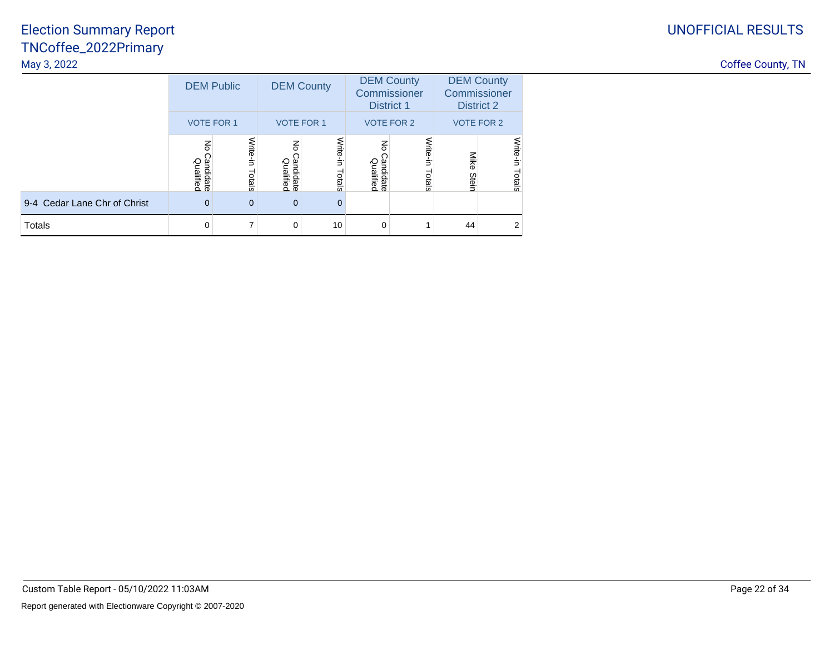## UNOFFICIAL RESULTS

### TNCoffee\_2022PrimaryMay 3, 2022Election Summary Report

| <b>Coffee County, TN</b> |  |
|--------------------------|--|
|                          |  |

| May 3, 2022                  |                             |          |                                                 |                        |                                                        |                    |     |                   |  |  |  |                                                 |
|------------------------------|-----------------------------|----------|-------------------------------------------------|------------------------|--------------------------------------------------------|--------------------|-----|-------------------|--|--|--|-------------------------------------------------|
|                              | <b>DEM Public</b>           |          | <b>DEM County</b>                               |                        | <b>DEM County</b><br>Commissioner<br><b>District 1</b> |                    |     |                   |  |  |  | <b>DEM County</b><br>Commissioner<br>District 2 |
|                              | <b>VOTE FOR 1</b>           |          | <b>VOTE FOR 1</b>                               |                        | <b>VOTE FOR 2</b>                                      |                    |     | <b>VOTE FOR 2</b> |  |  |  |                                                 |
|                              | 종<br>Candidate<br>Qualified | otals    | ا<br>ج<br><sup>&gt;</sup> andidate<br>Qualified | Write-<br>Ė.<br>Totals | >andidate<br>Qualified                                 | ≫<br>Elte<br>otals | Ste | pials             |  |  |  |                                                 |
| 9-4 Cedar Lane Chr of Christ | $\Omega$                    | $\Omega$ | $\mathbf{0}$                                    | $\mathbf{0}$           |                                                        |                    |     |                   |  |  |  |                                                 |
| Totals                       |                             |          | 0                                               | 10                     | 0                                                      |                    | 44  |                   |  |  |  |                                                 |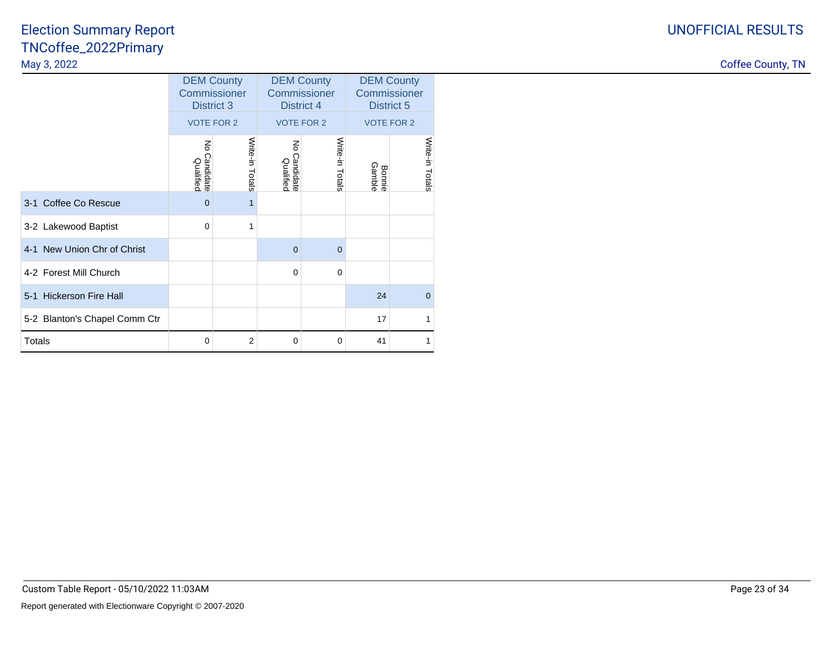|                               | <b>DEM County</b><br>Commissioner<br><b>District 3</b> |                 |                                          | <b>DEM County</b><br>Commissioner<br><b>District 4</b> | <b>DEM County</b><br>Commissioner<br>District 5 |                 |  |
|-------------------------------|--------------------------------------------------------|-----------------|------------------------------------------|--------------------------------------------------------|-------------------------------------------------|-----------------|--|
|                               | <b>VOTE FOR 2</b>                                      |                 |                                          | <b>VOTE FOR 2</b>                                      | <b>VOTE FOR 2</b>                               |                 |  |
|                               | $\preccurlyeq$<br>Candidate<br>Qualified               | Write-in Totals | $\preccurlyeq$<br>Candidate<br>Qualified | Write-in Totals                                        | <b>Bonnie</b><br>Gamble                         | Write-in Totals |  |
| 3-1 Coffee Co Rescue          | $\overline{0}$                                         | 1               |                                          |                                                        |                                                 |                 |  |
| 3-2 Lakewood Baptist          | $\mathbf 0$                                            | 1               |                                          |                                                        |                                                 |                 |  |
| 4-1 New Union Chr of Christ   |                                                        |                 | $\mathbf{0}$                             | $\overline{0}$                                         |                                                 |                 |  |
| 4-2 Forest Mill Church        |                                                        |                 | $\mathbf 0$                              | $\mathbf 0$                                            |                                                 |                 |  |
| 5-1 Hickerson Fire Hall       |                                                        |                 |                                          |                                                        | 24                                              | $\Omega$        |  |
| 5-2 Blanton's Chapel Comm Ctr |                                                        |                 |                                          |                                                        | 17                                              |                 |  |
| <b>Totals</b>                 | 0                                                      | $\overline{2}$  | 0                                        | $\mathbf 0$                                            | 41                                              | 1               |  |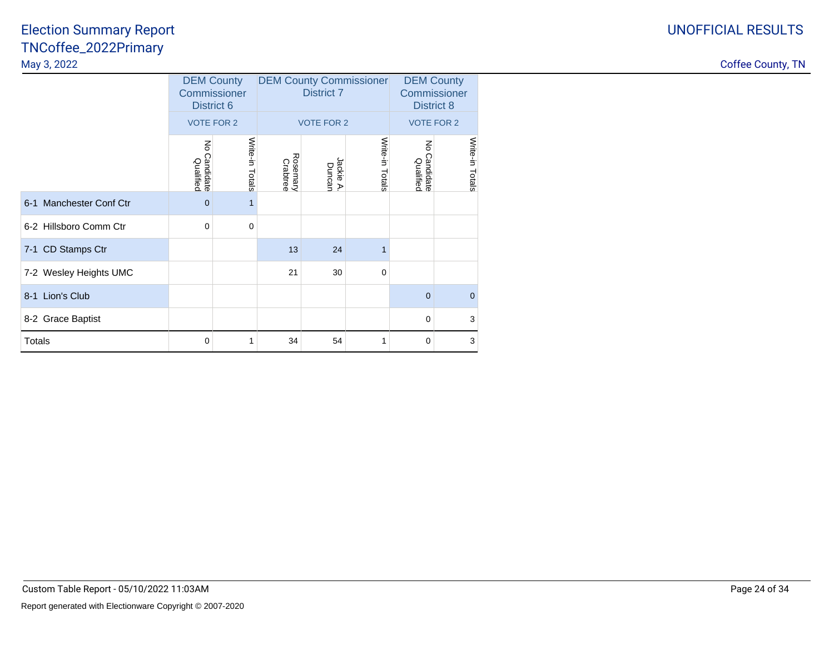|                         |                                      | <b>DEM County</b><br>Commissioner<br>District 6 |                      | <b>DEM County Commissioner</b><br><b>District 7</b> | <b>DEM County</b><br>Commissioner<br><b>District 8</b> |                                     |                 |
|-------------------------|--------------------------------------|-------------------------------------------------|----------------------|-----------------------------------------------------|--------------------------------------------------------|-------------------------------------|-----------------|
|                         |                                      | <b>VOTE FOR 2</b>                               |                      | <b>VOTE FOR 2</b>                                   | <b>VOTE FOR 2</b>                                      |                                     |                 |
|                         | $\lessgtr$<br>Candidate<br>Qualified | Write-in Totals                                 | Rosemary<br>Crabtree | Jackie A<br>Duncan                                  | Write-in Totals                                        | $\preceq$<br>Candidate<br>Qualified | Write-in Totals |
| 6-1 Manchester Conf Ctr | $\overline{0}$                       | 1                                               |                      |                                                     |                                                        |                                     |                 |
| 6-2 Hillsboro Comm Ctr  | 0                                    | $\mathbf 0$                                     |                      |                                                     |                                                        |                                     |                 |
| 7-1 CD Stamps Ctr       |                                      |                                                 | 13                   | 24                                                  | 1                                                      |                                     |                 |
| 7-2 Wesley Heights UMC  |                                      |                                                 | 21                   | 30                                                  | $\mathbf 0$                                            |                                     |                 |
| 8-1 Lion's Club         |                                      |                                                 |                      |                                                     |                                                        | $\Omega$                            | $\mathbf 0$     |
| 8-2 Grace Baptist       |                                      |                                                 |                      |                                                     |                                                        | $\Omega$                            | 3               |
| <b>Totals</b>           | 0                                    | 1                                               | 34                   | 54                                                  | 1                                                      | 0                                   | 3               |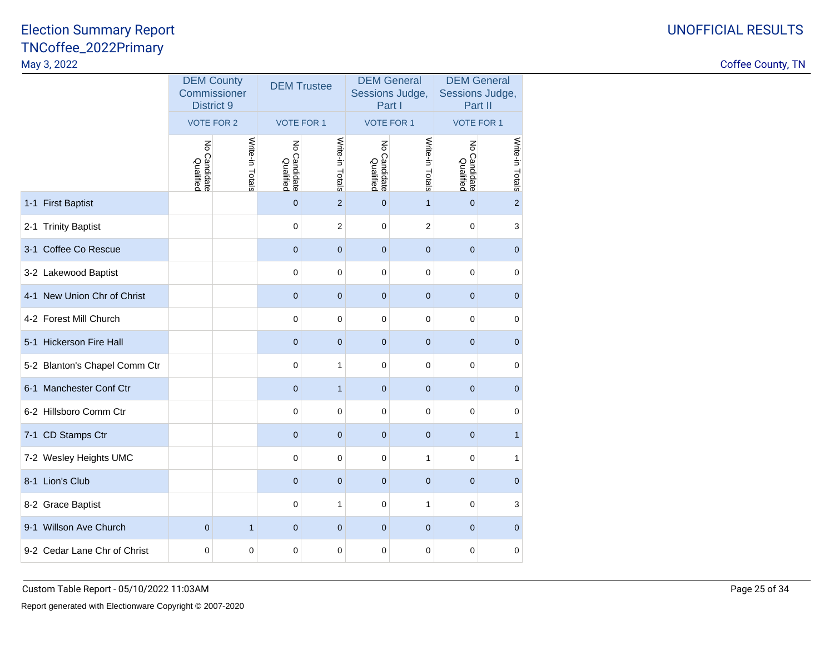Coffee County, TN

|                               | <b>DEM County</b><br>Commissioner<br><b>District 9</b> |                 | <b>DEM Trustee</b>            |                   | <b>DEM General</b><br>Sessions Judge,<br>Part I |                         | <b>DEM General</b><br>Sessions Judge,<br>Part II |                 |
|-------------------------------|--------------------------------------------------------|-----------------|-------------------------------|-------------------|-------------------------------------------------|-------------------------|--------------------------------------------------|-----------------|
|                               | <b>VOTE FOR 2</b>                                      |                 |                               | <b>VOTE FOR 1</b> |                                                 | <b>VOTE FOR 1</b>       | <b>VOTE FOR 1</b>                                |                 |
|                               | ξ<br>o Candidate<br>Qualified                          | Write-in Totals | Š<br>o Candidate<br>Qualified | Write-in Totals   | $\mathsf{S}$<br>o Candidate<br>Qualified        | Write-in Totals         | ξ<br>o Candidate<br>Qualified                    | Write-in Totals |
| 1-1 First Baptist             |                                                        |                 | $\overline{0}$                | $\overline{2}$    | $\overline{0}$                                  | $\mathbf{1}$            | $\overline{0}$                                   | $\overline{2}$  |
| 2-1 Trinity Baptist           |                                                        |                 | $\mathbf 0$                   | $\sqrt{2}$        | $\mathbf 0$                                     | $\overline{\mathbf{c}}$ | $\mathbf 0$                                      | 3               |
| 3-1 Coffee Co Rescue          |                                                        |                 | $\mathbf 0$                   | $\mathbf 0$       | $\mathbf{0}$                                    | $\mathbf 0$             | $\mathbf{0}$                                     | $\pmb{0}$       |
| 3-2 Lakewood Baptist          |                                                        |                 | $\mathbf 0$                   | $\mathbf 0$       | 0                                               | $\mathbf 0$             | $\mathbf 0$                                      | $\mathbf 0$     |
| 4-1 New Union Chr of Christ   |                                                        |                 | $\mathbf 0$                   | $\mathbf{0}$      | $\mathbf{0}$                                    | $\mathbf 0$             | $\mathbf 0$                                      | $\mathbf 0$     |
| 4-2 Forest Mill Church        |                                                        |                 | $\mathbf 0$                   | 0                 | 0                                               | $\mathbf 0$             | 0                                                | $\pmb{0}$       |
| 5-1 Hickerson Fire Hall       |                                                        |                 | $\mathbf 0$                   | $\pmb{0}$         | $\bf{0}$                                        | $\pmb{0}$               | $\mathbf 0$                                      | $\pmb{0}$       |
| 5-2 Blanton's Chapel Comm Ctr |                                                        |                 | $\mathbf 0$                   | $\mathbf{1}$      | 0                                               | $\mathbf 0$             | 0                                                | $\mathbf 0$     |
| 6-1 Manchester Conf Ctr       |                                                        |                 | $\mathbf 0$                   | $\mathbf{1}$      | $\mathbf 0$                                     | $\mathbf 0$             | $\mathbf 0$                                      | $\mathbf 0$     |
| 6-2 Hillsboro Comm Ctr        |                                                        |                 | $\mathbf 0$                   | $\mathbf 0$       | 0                                               | $\mathbf 0$             | $\mathbf 0$                                      | $\pmb{0}$       |
| 7-1 CD Stamps Ctr             |                                                        |                 | $\overline{0}$                | $\mathbf 0$       | $\overline{0}$                                  | $\mathbf 0$             | $\overline{0}$                                   | $\mathbf{1}$    |
| 7-2 Wesley Heights UMC        |                                                        |                 | $\mathbf 0$                   | $\mathbf 0$       | 0                                               | 1                       | $\mathbf 0$                                      | 1               |
| 8-1 Lion's Club               |                                                        |                 | $\mathbf 0$                   | $\mathbf 0$       | $\mathbf 0$                                     | $\mathbf 0$             | $\mathbf 0$                                      | $\mathbf 0$     |
| 8-2 Grace Baptist             |                                                        |                 | $\mathbf 0$                   | 1                 | 0                                               | 1                       | $\mathbf 0$                                      | 3               |
| 9-1 Willson Ave Church        | $\overline{0}$                                         | $\mathbf{1}$    | $\mathbf{0}$                  | $\mathbf 0$       | $\mathbf{0}$                                    | $\mathbf 0$             | $\mathbf 0$                                      | $\mathbf 0$     |
| 9-2 Cedar Lane Chr of Christ  | $\mathbf 0$                                            | 0               | $\mathbf 0$                   | $\mathbf 0$       | 0                                               | 0                       | $\mathbf 0$                                      | $\mathbf 0$     |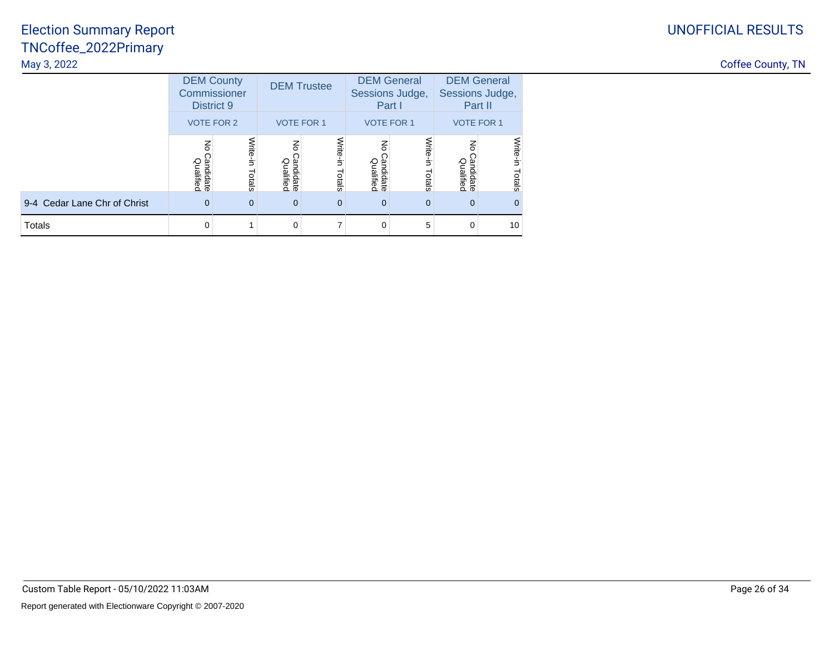## UNOFFICIAL RESULTS

| <b>Coffee County, TN</b> |  |
|--------------------------|--|
|--------------------------|--|

|                              | <b>DEM County</b><br>Commissioner<br>District 9 |                    |                                          | <b>DEM Trustee</b> | Sessions Judge,<br>Part I              | <b>DEM General</b> | Sessions Judge,                          | <b>DEM General</b><br>Part II |
|------------------------------|-------------------------------------------------|--------------------|------------------------------------------|--------------------|----------------------------------------|--------------------|------------------------------------------|-------------------------------|
|                              | <b>VOTE FOR 2</b>                               |                    | <b>VOTE FOR 1</b>                        |                    | <b>VOTE FOR 1</b>                      |                    | <b>VOTE FOR 1</b>                        |                               |
|                              | $\overline{6}$<br>Candidate<br>Qualified        | Write-in<br>Totals | $\overline{5}$<br>Candidate<br>Qualified | Write-in<br>Totals | $\mathbf{g}$<br>Candidate<br>Qualified | Write-in<br>Totals | $\overline{6}$<br>Candidate<br>Qualified | Write-in<br>Totals            |
| 9-4 Cedar Lane Chr of Christ | $\overline{0}$                                  | 0                  | $\overline{0}$                           | $\overline{0}$     | $\mathbf 0$                            | $\mathbf 0$        | $\mathbf 0$                              | $\overline{0}$                |
| Totals                       | $\Omega$                                        |                    | 0                                        |                    | 0                                      | 5                  | $\Omega$                                 | 10                            |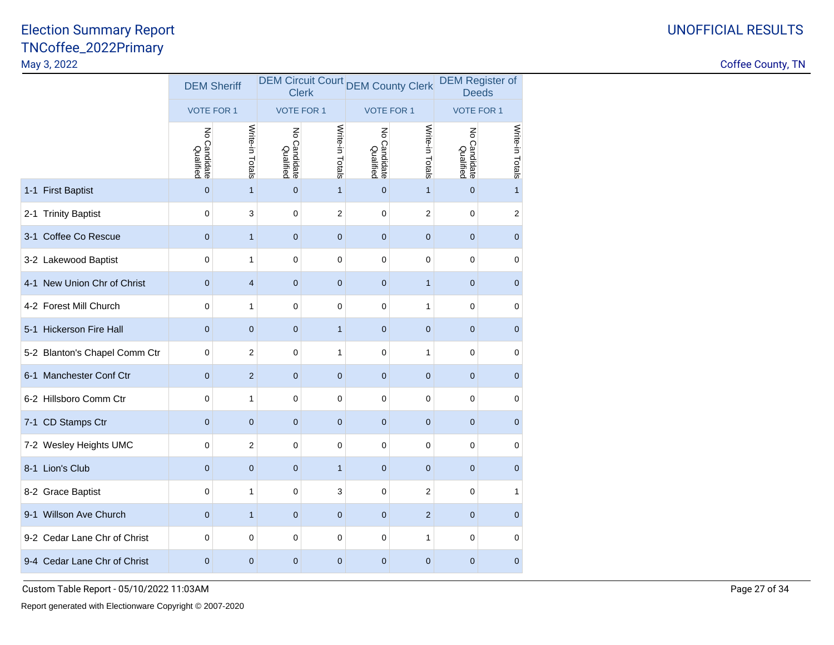|                               | <b>DEM Sheriff</b>            |                         | <b>Clerk</b>                  |                 | <b>DEM Circuit Court DEM County Clerk</b> |                         | <b>DEM Register of</b><br><b>Deeds</b> |                 |
|-------------------------------|-------------------------------|-------------------------|-------------------------------|-----------------|-------------------------------------------|-------------------------|----------------------------------------|-----------------|
|                               | <b>VOTE FOR 1</b>             |                         | <b>VOTE FOR 1</b>             |                 | <b>VOTE FOR 1</b>                         |                         | <b>VOTE FOR 1</b>                      |                 |
|                               | 종<br>o Candidate<br>Qualified | Write-in Totals         | š<br>o Candidate<br>Qualified | Write-in Totals | Z<br>o Candidate<br>Qualified             | Write-in Totals         | No Candidate<br>Qualified              | Write-in Totals |
| 1-1 First Baptist             | $\mathbf 0$                   | $\mathbf{1}$            | $\mathbf 0$                   | $\mathbf{1}$    | $\mathbf 0$                               | $\mathbf{1}$            | $\mathbf{0}$                           | $\mathbf{1}$    |
| 2-1 Trinity Baptist           | $\mathbf 0$                   | 3                       | $\mathbf 0$                   | 2               | $\mathbf 0$                               | $\overline{2}$          | $\mathbf 0$                            | $\sqrt{2}$      |
| 3-1 Coffee Co Rescue          | $\mathbf 0$                   | $\mathbf{1}$            | $\mathbf 0$                   | $\mathbf 0$     | $\mathbf 0$                               | $\mathbf{0}$            | $\mathbf{0}$                           | $\mathbf 0$     |
| 3-2 Lakewood Baptist          | 0                             | $\mathbf{1}$            | $\pmb{0}$                     | 0               | 0                                         | $\mathbf 0$             | $\mathbf 0$                            | $\pmb{0}$       |
| 4-1 New Union Chr of Christ   | $\mathbf 0$                   | $\overline{\mathbf{4}}$ | $\mathbf 0$                   | $\mathbf 0$     | $\mathbf 0$                               | $\mathbf{1}$            | $\mathbf 0$                            | $\mathbf 0$     |
| 4-2 Forest Mill Church        | $\mathbf 0$                   | 1                       | $\mathbf 0$                   | 0               | $\mathbf 0$                               | 1                       | $\mathbf 0$                            | $\pmb{0}$       |
| 5-1 Hickerson Fire Hall       | $\overline{0}$                | $\mathbf 0$             | $\overline{0}$                | $\mathbf{1}$    | $\overline{0}$                            | $\mathbf 0$             | $\mathbf{0}$                           | $\mathbf 0$     |
| 5-2 Blanton's Chapel Comm Ctr | $\mathbf 0$                   | $\sqrt{2}$              | $\mathbf 0$                   | $\mathbf{1}$    | 0                                         | $\mathbf{1}$            | $\mathbf 0$                            | $\mathbf 0$     |
| 6-1 Manchester Conf Ctr       | $\mathbf 0$                   | $\sqrt{2}$              | $\mathbf 0$                   | $\pmb{0}$       | $\mathbf 0$                               | $\mathbf 0$             | $\mathbf{0}$                           | $\mathbf 0$     |
| 6-2 Hillsboro Comm Ctr        | $\mathbf 0$                   | $\mathbf{1}$            | $\mathbf 0$                   | 0               | $\mathbf 0$                               | $\mathbf 0$             | $\mathbf 0$                            | $\mathbf 0$     |
| 7-1 CD Stamps Ctr             | $\mathbf 0$                   | $\pmb{0}$               | $\mathbf 0$                   | $\mathbf 0$     | $\mathbf 0$                               | $\mathbf{0}$            | $\mathbf{0}$                           | $\mathbf 0$     |
| 7-2 Wesley Heights UMC        | 0                             | $\sqrt{2}$              | $\mathbf 0$                   | 0               | 0                                         | $\mathbf 0$             | $\mathbf 0$                            | $\pmb{0}$       |
| 8-1 Lion's Club               | $\mathbf 0$                   | $\pmb{0}$               | $\mathbf 0$                   | $\mathbf{1}$    | $\mathbf 0$                               | $\mathbf{0}$            | $\mathbf 0$                            | $\mathbf 0$     |
| 8-2 Grace Baptist             | 0                             | $\mathbf{1}$            | $\mathbf 0$                   | 3               | 0                                         | $\overline{\mathbf{c}}$ | $\mathbf 0$                            | 1               |
| 9-1 Willson Ave Church        | $\overline{0}$                | $\mathbf{1}$            | $\overline{0}$                | $\mathbf 0$     | 0                                         | $\overline{2}$          | $\mathbf{0}$                           | $\mathbf 0$     |
| 9-2 Cedar Lane Chr of Christ  | 0                             | $\mathbf 0$             | $\mathbf 0$                   | 0               | 0                                         | $\mathbf{1}$            | $\mathbf 0$                            | $\mathbf 0$     |
| 9-4 Cedar Lane Chr of Christ  | $\mathbf 0$                   | $\pmb{0}$               | $\mathbf{0}$                  | 0               | $\mathbf 0$                               | $\mathbf{0}$            | $\mathbf{0}$                           | $\mathbf 0$     |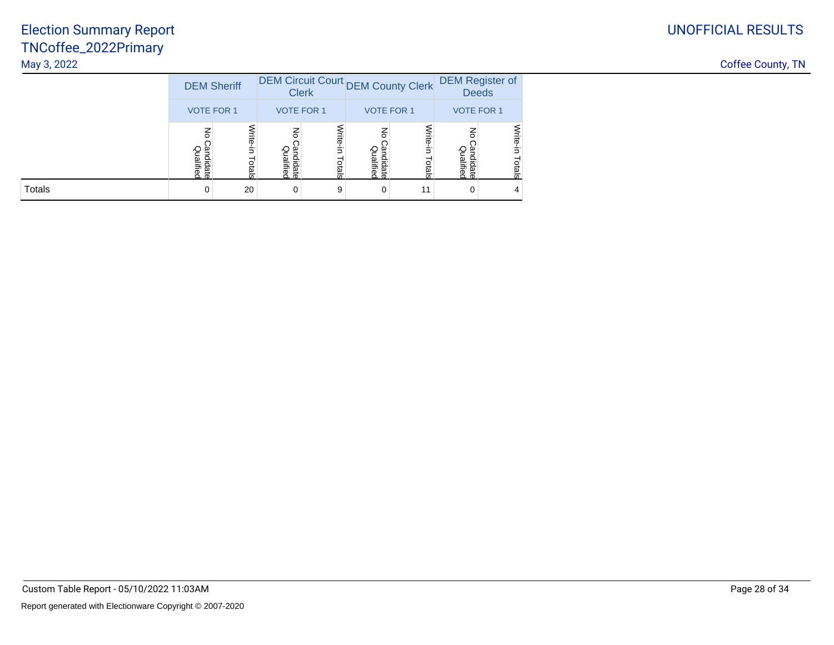|               | <b>DEM Sheriff</b>                       |                   |                            | <b>Clerk</b>      |                                        | DEM Circuit Court DEM County Clerk | <b>DEM Register of</b><br><b>Deeds</b> |                    |
|---------------|------------------------------------------|-------------------|----------------------------|-------------------|----------------------------------------|------------------------------------|----------------------------------------|--------------------|
|               | <b>VOTE FOR 1</b>                        |                   |                            | <b>VOTE FOR 1</b> |                                        | <b>VOTE FOR 1</b>                  | <b>VOTE FOR 1</b>                      |                    |
|               | $\overline{6}$<br>Candidate<br>Qualified | Write-in<br>otals | 종<br>Qualified<br>andidate | Write-in<br>otals | $\mathbf{g}$<br>Candidate<br>Qualifiec | Write-in<br>otals                  | 종<br>Candidate<br>Qualified            | Write-in<br>Totals |
| <b>Totals</b> | 0                                        | 20                | 0                          | 9                 | 0                                      | 11                                 | 0                                      | 4                  |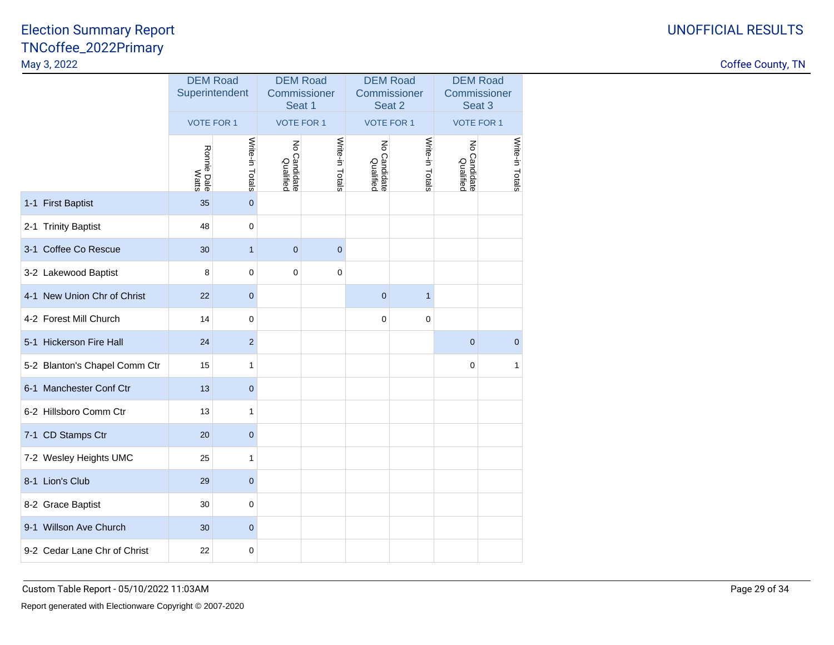|                               | <b>DEM Road</b><br>Superintendent |                 |                           | <b>DEM Road</b><br>Commissioner<br>Seat 1 |                               | <b>DEM Road</b><br>Commissioner<br>Seat 2 | <b>DEM Road</b><br>Commissioner<br>Seat 3    |                 |
|-------------------------------|-----------------------------------|-----------------|---------------------------|-------------------------------------------|-------------------------------|-------------------------------------------|----------------------------------------------|-----------------|
|                               | <b>VOTE FOR 1</b>                 |                 | <b>VOTE FOR 1</b>         |                                           | <b>VOTE FOR 1</b>             |                                           | <b>VOTE FOR 1</b>                            |                 |
|                               | Ronnie Dale<br>Watts              | Write-in Totals | No Candidate<br>Qualified | Write-in Totals                           | ξ<br>o Candidate<br>Qualified | Write-in Totals                           | $\overline{\xi}$<br>o Candidate<br>Qualified | Write-in Totals |
| 1-1 First Baptist             | 35                                | $\mathbf 0$     |                           |                                           |                               |                                           |                                              |                 |
| 2-1 Trinity Baptist           | 48                                | $\mathbf 0$     |                           |                                           |                               |                                           |                                              |                 |
| 3-1 Coffee Co Rescue          | 30                                | $\mathbf{1}$    | $\overline{0}$            | $\mathbf 0$                               |                               |                                           |                                              |                 |
| 3-2 Lakewood Baptist          | 8                                 | 0               | $\mathbf 0$               | 0                                         |                               |                                           |                                              |                 |
| 4-1 New Union Chr of Christ   | 22                                | $\pmb{0}$       |                           |                                           | $\mathbf 0$                   | $\mathbf{1}$                              |                                              |                 |
| 4-2 Forest Mill Church        | 14                                | $\mathbf 0$     |                           |                                           | 0                             | $\mathbf 0$                               |                                              |                 |
| 5-1 Hickerson Fire Hall       | 24                                | $\overline{2}$  |                           |                                           |                               |                                           | $\mathbf{0}$                                 | $\mathbf 0$     |
| 5-2 Blanton's Chapel Comm Ctr | 15                                | $\mathbf{1}$    |                           |                                           |                               |                                           | $\mathbf 0$                                  | $\mathbf{1}$    |
| 6-1 Manchester Conf Ctr       | 13                                | $\mathbf 0$     |                           |                                           |                               |                                           |                                              |                 |
| 6-2 Hillsboro Comm Ctr        | 13                                | $\mathbf{1}$    |                           |                                           |                               |                                           |                                              |                 |
| 7-1 CD Stamps Ctr             | 20                                | $\pmb{0}$       |                           |                                           |                               |                                           |                                              |                 |
| 7-2 Wesley Heights UMC        | 25                                | 1               |                           |                                           |                               |                                           |                                              |                 |
| 8-1 Lion's Club               | 29                                | $\mathbf 0$     |                           |                                           |                               |                                           |                                              |                 |
| 8-2 Grace Baptist             | 30                                | 0               |                           |                                           |                               |                                           |                                              |                 |
| 9-1 Willson Ave Church        | 30                                | $\mathbf 0$     |                           |                                           |                               |                                           |                                              |                 |
| 9-2 Cedar Lane Chr of Christ  | 22                                | $\pmb{0}$       |                           |                                           |                               |                                           |                                              |                 |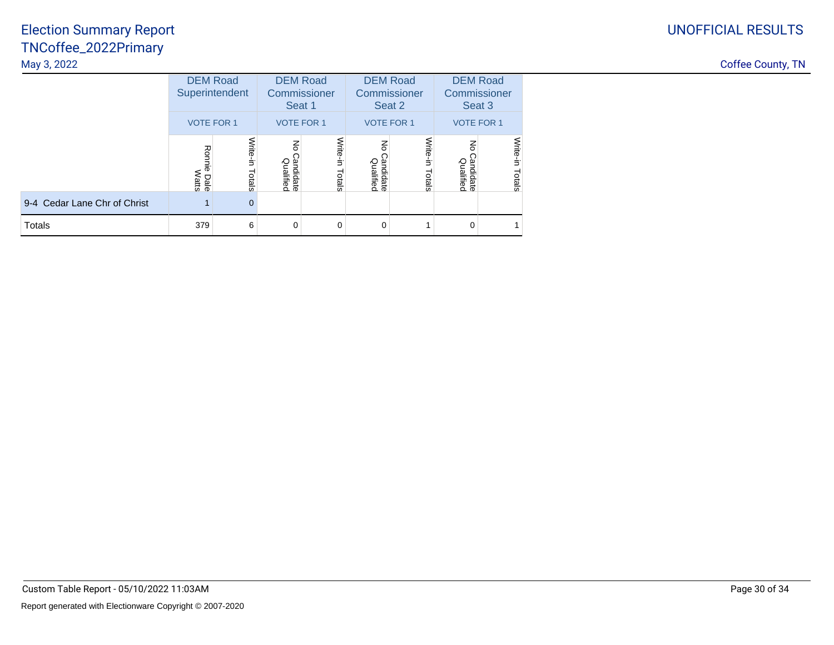|                              | <b>DEM Road</b><br>Superintendent |                    |                                        | <b>DEM Road</b><br>Commissioner<br>Seat 1 |                                          | <b>DEM Road</b><br>Commissioner<br>Seat 2 | <b>DEM Road</b><br>Commissioner<br>Seat 3 |                    |
|------------------------------|-----------------------------------|--------------------|----------------------------------------|-------------------------------------------|------------------------------------------|-------------------------------------------|-------------------------------------------|--------------------|
|                              | <b>VOTE FOR 1</b>                 |                    |                                        | <b>VOTE FOR 1</b>                         |                                          | <b>VOTE FOR 1</b>                         |                                           | <b>VOTE FOR 1</b>  |
|                              | Ronnie<br>Watts<br>Dale           | Write-in<br>Totals | $\mathbf{g}$<br>Candidate<br>Qualified | Write-in<br>Totals                        | $\overline{5}$<br>Candidate<br>Qualified | Write-in<br>Totals                        | 중<br>Candidate<br>Qualified               | Write-in<br>Totals |
| 9-4 Cedar Lane Chr of Christ |                                   | $\mathbf 0$        |                                        |                                           |                                          |                                           |                                           |                    |
| <b>Totals</b>                | 379                               | 6                  | 0                                      | $\Omega$                                  | $\Omega$                                 |                                           | $\Omega$                                  |                    |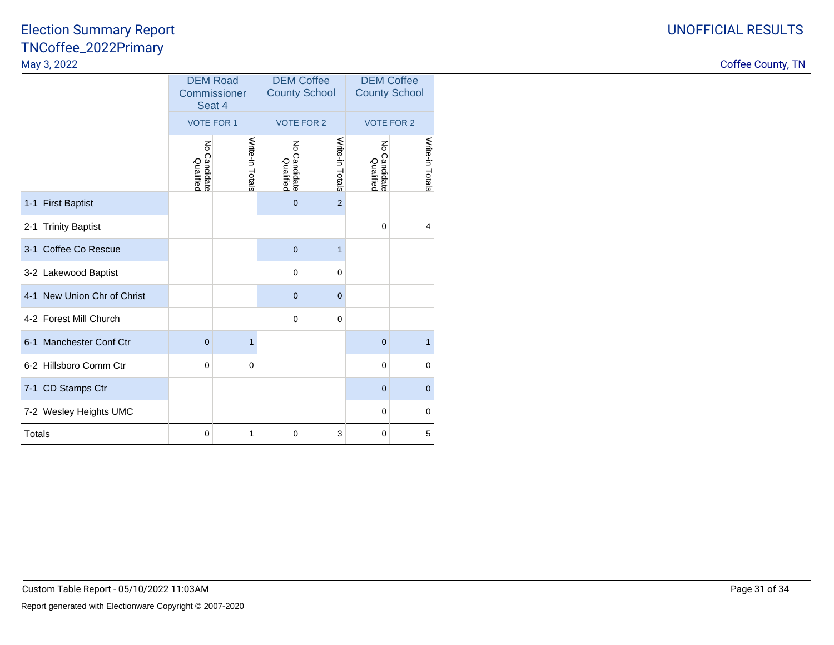|                             | <b>DEM Coffee</b><br><b>DEM Road</b><br>Commissioner<br><b>County School</b><br>Seat 4 |                 |                             |                   | <b>DEM Coffee</b><br><b>County School</b> |                 |  |
|-----------------------------|----------------------------------------------------------------------------------------|-----------------|-----------------------------|-------------------|-------------------------------------------|-----------------|--|
|                             | <b>VOTE FOR 1</b>                                                                      |                 |                             | <b>VOTE FOR 2</b> | <b>VOTE FOR 2</b>                         |                 |  |
|                             | ξ<br>Candidate<br>Qualified                                                            | Write-in Totals | ξ<br>Candidate<br>Qualified | Write-in Totals   | ξ<br>Candidate<br>Qualified               | Write-in Totals |  |
| 1-1 First Baptist           |                                                                                        |                 | $\mathbf 0$                 | $\overline{2}$    |                                           |                 |  |
| 2-1 Trinity Baptist         |                                                                                        |                 |                             |                   | $\mathbf 0$                               | $\overline{4}$  |  |
| 3-1 Coffee Co Rescue        |                                                                                        |                 | $\mathbf 0$                 | $\mathbf{1}$      |                                           |                 |  |
| 3-2 Lakewood Baptist        |                                                                                        |                 | $\mathbf 0$                 | $\mathbf 0$       |                                           |                 |  |
| 4-1 New Union Chr of Christ |                                                                                        |                 | $\overline{0}$              | $\overline{0}$    |                                           |                 |  |
| 4-2 Forest Mill Church      |                                                                                        |                 | $\mathbf 0$                 | $\mathbf 0$       |                                           |                 |  |
| 6-1 Manchester Conf Ctr     | $\overline{0}$                                                                         | $\mathbf{1}$    |                             |                   | $\mathbf 0$                               | $\mathbf{1}$    |  |
| 6-2 Hillsboro Comm Ctr      | $\mathbf 0$                                                                            | $\mathbf 0$     |                             |                   | $\mathbf 0$                               | $\mathbf 0$     |  |
| 7-1 CD Stamps Ctr           |                                                                                        |                 |                             |                   | $\overline{0}$                            | $\mathbf{0}$    |  |
| 7-2 Wesley Heights UMC      |                                                                                        |                 |                             |                   | 0                                         | $\pmb{0}$       |  |
| <b>Totals</b>               | $\mathbf 0$                                                                            | 1               | $\mathbf 0$                 | 3                 | 0                                         | 5               |  |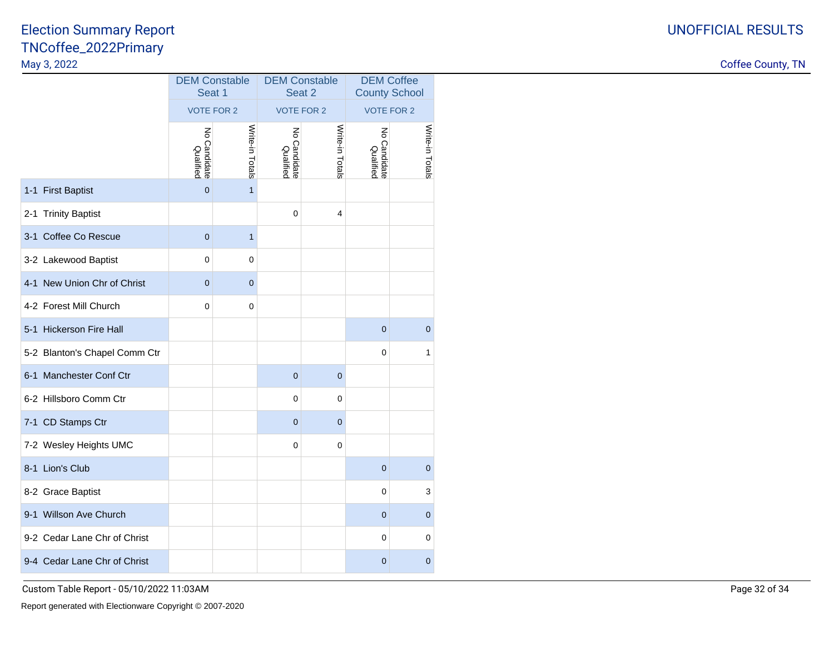Coffee County, TN

|                               | <b>DEM Constable</b><br>Seat 1<br><b>VOTE FOR 2</b> |                 | <b>DEM Constable</b><br>Seat 2<br><b>VOTE FOR 2</b> |                                 | <b>DEM Coffee</b><br><b>County School</b><br><b>VOTE FOR 2</b> |                 |
|-------------------------------|-----------------------------------------------------|-----------------|-----------------------------------------------------|---------------------------------|----------------------------------------------------------------|-----------------|
|                               |                                                     |                 |                                                     |                                 |                                                                |                 |
|                               | ξ<br>Candidate<br>Qualified                         | Write-in Totals | ξ<br>o Candidate<br>Qualified                       | Write-in Tota<br>$\overline{a}$ | ξ<br>o Candidate<br>Qualified                                  | Write-in Totals |
| 1-1 First Baptist             | $\overline{0}$                                      | $\mathbf{1}$    |                                                     |                                 |                                                                |                 |
| 2-1 Trinity Baptist           |                                                     |                 | 0                                                   | $\overline{4}$                  |                                                                |                 |
| 3-1 Coffee Co Rescue          | $\mathbf 0$                                         | $\mathbf{1}$    |                                                     |                                 |                                                                |                 |
| 3-2 Lakewood Baptist          | 0                                                   | 0               |                                                     |                                 |                                                                |                 |
| 4-1 New Union Chr of Christ   | $\mathbf 0$                                         | $\mathbf 0$     |                                                     |                                 |                                                                |                 |
| 4-2 Forest Mill Church        | 0                                                   | 0               |                                                     |                                 |                                                                |                 |
| 5-1 Hickerson Fire Hall       |                                                     |                 |                                                     |                                 | $\mathbf{0}$                                                   | $\mathbf 0$     |
| 5-2 Blanton's Chapel Comm Ctr |                                                     |                 |                                                     |                                 | 0                                                              | 1               |
| 6-1 Manchester Conf Ctr       |                                                     |                 | $\mathbf 0$                                         | $\mathbf 0$                     |                                                                |                 |
| 6-2 Hillsboro Comm Ctr        |                                                     |                 | 0                                                   | 0                               |                                                                |                 |
| 7-1 CD Stamps Ctr             |                                                     |                 | $\mathbf 0$                                         | 0                               |                                                                |                 |
| 7-2 Wesley Heights UMC        |                                                     |                 | 0                                                   | 0                               |                                                                |                 |
| 8-1 Lion's Club               |                                                     |                 |                                                     |                                 | $\mathbf{0}$                                                   | $\mathbf 0$     |
| 8-2 Grace Baptist             |                                                     |                 |                                                     |                                 | 0                                                              | 3               |
| 9-1 Willson Ave Church        |                                                     |                 |                                                     |                                 | 0                                                              | $\mathbf 0$     |
| 9-2 Cedar Lane Chr of Christ  |                                                     |                 |                                                     |                                 | 0                                                              | $\pmb{0}$       |
| 9-4 Cedar Lane Chr of Christ  |                                                     |                 |                                                     |                                 | 0                                                              | 0               |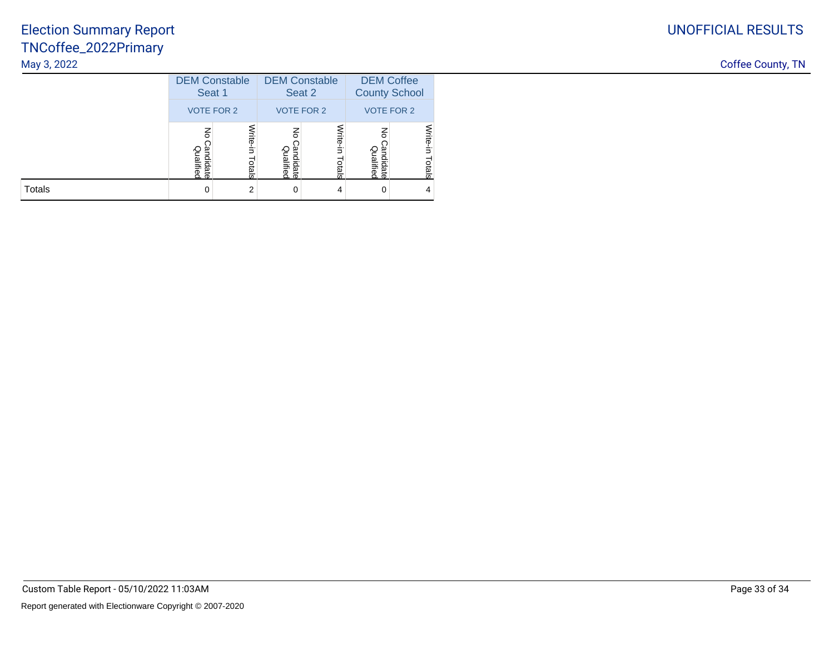|               | <b>DEM Constable</b><br>Seat 1<br><b>VOTE FOR 2</b> |                   | <b>DEM Constable</b><br>Seat 2<br><b>VOTE FOR 2</b> |                       | <b>DEM Coffee</b><br><b>County School</b> |                    |
|---------------|-----------------------------------------------------|-------------------|-----------------------------------------------------|-----------------------|-------------------------------------------|--------------------|
|               |                                                     |                   |                                                     |                       | <b>VOTE FOR 2</b>                         |                    |
|               | 공<br>Qualitiec<br>يو<br>didate                      | Vrite-in<br>otals | 종<br>Qualified<br>g<br>didate                       | Write-<br>Ė.<br>otals | 종<br>Qualified<br>andidate                | Write-in<br>Totals |
| <b>Totals</b> |                                                     | 2                 | 0                                                   | 4                     | 0                                         | 4                  |